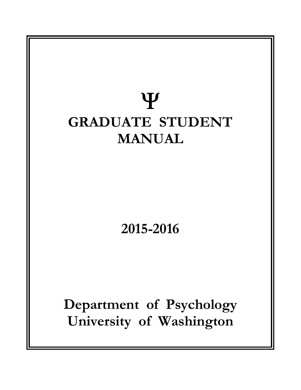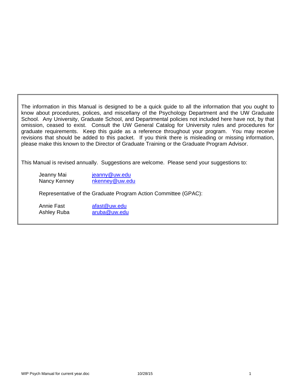The information in this Manual is designed to be a quick guide to all the information that you ought to know about procedures, polices, and miscellany of the Psychology Department and the UW Graduate School. Any University, Graduate School, and Departmental policies not included here have not, by that omission, ceased to exist. Consult the UW General Catalog for University rules and procedures for graduate requirements. Keep this guide as a reference throughout your program. You may receive revisions that should be added to this packet. If you think there is misleading or missing information, please make this known to the Director of Graduate Training or the Graduate Program Advisor.

This Manual is revised annually. Suggestions are welcome. Please send your suggestions to:

Jeanny Mai jeanny@uw.edu Nancy Kenney nkenney@uw.edu

Representative of the Graduate Program Action Committee (GPAC):

Annie Fast afast@uw.edu Ashley Ruba aruba@uw.edu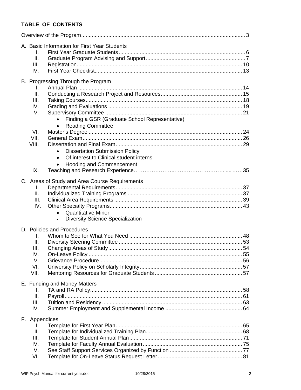# **TABLE OF CONTENTS**

|  | A. Basic Information for First Year Students<br>I.   |  |
|--|------------------------------------------------------|--|
|  | Ш.                                                   |  |
|  | III.                                                 |  |
|  | IV.                                                  |  |
|  |                                                      |  |
|  | B. Progressing Through the Program                   |  |
|  | L.                                                   |  |
|  | ΙΙ.                                                  |  |
|  | III.                                                 |  |
|  | IV.<br>V.                                            |  |
|  |                                                      |  |
|  | Finding a GSR (Graduate School Representative)       |  |
|  | <b>Reading Committee</b><br>$\bullet$                |  |
|  | VI.<br>VII.                                          |  |
|  | VIII.                                                |  |
|  | <b>Dissertation Submission Policy</b>                |  |
|  | $\bullet$                                            |  |
|  | Of interest to Clinical student interns<br>$\bullet$ |  |
|  | <b>Hooding and Commencement</b><br>$\bullet$         |  |
|  | IX.                                                  |  |
|  | C. Areas of Study and Area Course Requirements       |  |
|  | L.                                                   |  |
|  | II.                                                  |  |
|  | III.                                                 |  |
|  | IV.                                                  |  |
|  | <b>Quantitative Minor</b><br>$\bullet$               |  |
|  | <b>Diversity Science Specialization</b><br>$\bullet$ |  |
|  | D. Policies and Procedures                           |  |
|  | I.                                                   |  |
|  | II.                                                  |  |
|  | Ш.                                                   |  |
|  | IV.                                                  |  |
|  | V.                                                   |  |
|  | VI.                                                  |  |
|  | VII.                                                 |  |
|  |                                                      |  |
|  | E. Funding and Money Matters                         |  |
|  | I.                                                   |  |
|  | ΙΙ.                                                  |  |
|  | III.                                                 |  |
|  | IV.                                                  |  |
|  | F. Appendices                                        |  |
|  | L.                                                   |  |
|  | Ⅱ.                                                   |  |
|  | III.                                                 |  |
|  | IV.                                                  |  |
|  | V.                                                   |  |
|  | VI.                                                  |  |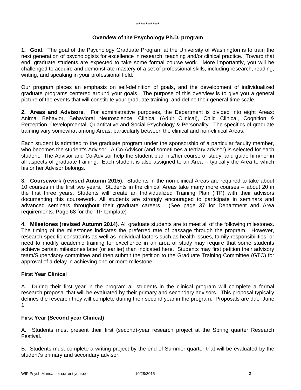#### **Overview of the Psychology Ph.D. program**

**1. Goal**. The goal of the Psychology Graduate Program at the University of Washington is to train the next generation of psychologists for excellence in research, teaching and/or clinical practice. Toward that end, graduate students are expected to take some formal course work. More importantly, you will be challenged to acquire and demonstrate mastery of a set of professional skills, including research, reading, writing, and speaking in your professional field.

Our program places an emphasis on self-definition of goals, and the development of individualized graduate programs centered around your goals. The purpose of this overview is to give you a general picture of the events that will constitute your graduate training, and define their general time scale.

**2. Areas and Advisors**. For administrative purposes, the Department is divided into eight Areas: Animal Behavior, Behavioral Neuroscience, Clinical (Adult Clinical), Child Clinical, Cognition & Perception, Developmental, Quantitative and Social Psychology & Personality. The specifics of graduate training vary somewhat among Areas, particularly between the clinical and non-clinical Areas.

Each student is admitted to the graduate program under the sponsorship of a particular faculty member, who becomes the student's Advisor. A Co-Advisor (and sometimes a tertiary advisor) is selected for each student. The Advisor and Co-Advisor help the student plan his/her course of study, and guide him/her in all aspects of graduate training. Each student is also assigned to an Area -- typically the Area to which his or her Advisor belongs.

**3. Coursework (revised Autumn 2015)**. Students in the non-clinical Areas are required to take about 10 courses in the first two years. Students in the clinical Areas take many more courses -- about 20 in the first three years. Students will create an Individualized Training Plan (ITP) with their advisors documenting this coursework. All students are strongly encouraged to participate in seminars and advanced seminars throughout their graduate careers. (See page 37 for Department and Area requirements. Page 68 for the ITP template)

**4. Milestones (revised Autumn 2014)**. All graduate students are to meet all of the following milestones. The timing of the milestones indicates the preferred rate of passage through the program. However, research-specific constraints as well as individual factors such as health issues, family responsibilities, or need to modify academic training for excellence in an area of study may require that some students achieve certain milestones later (or earlier) than indicated here. Students may first petition their advisory team/Supervisory committee and then submit the petition to the Graduate Training Committee (GTC) for approval of a delay in achieving one or more milestone.

### **First Year Clinical**

A. During their first year in the program all students in the clinical program will complete a formal research proposal that will be evaluated by their primary and secondary advisors. This proposal typically defines the research they will complete during their second year in the program. Proposals are due June 1.

### **First Year (Second year Clinical)**

A. Students must present their first (second)-year research project at the Spring quarter Research Festival.

B. Students must complete a writing project by the end of Summer quarter that will be evaluated by the student's primary and secondary advisor.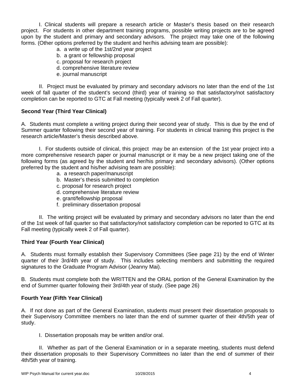I. Clinical students will prepare a research article or Master's thesis based on their research project. For students in other department training programs, possible writing projects are to be agreed upon by the student and primary and secondary advisors. The project may take one of the following forms. (Other options preferred by the student and her/his advising team are possible):

- a. a write up of the 1st/2nd year project
- b. a grant or fellowship proposal
- c. proposal for research project
- d. comprehensive literature review
- e. journal manuscript

 II. Project must be evaluated by primary and secondary advisors no later than the end of the 1st week of fall quarter of the student's second (third) year of training so that satisfactory/not satisfactory completion can be reported to GTC at Fall meeting (typically week 2 of Fall quarter).

# **Second Year (Third Year Clinical)**

A. Students must complete a writing project during their second year of study. This is due by the end of Summer quarter following their second year of training. For students in clinical training this project is the research article/Master's thesis described above.

 I. For students outside of clinical, this project may be an extension of the 1st year project into a more comprehensive research paper or journal manuscript or it may be a new project taking one of the following forms (as agreed by the student and her/his primary and secondary advisors). (Other options preferred by the student and his/her advising team are possible):

- a. a research paper/manuscript
- b. Master's thesis submitted to completion
- c. proposal for research project
- d. comprehensive literature review
- e. grant/fellowship proposal
- f. preliminary dissertation proposal

 II. The writing project will be evaluated by primary and secondary advisors no later than the end of the 1st week of fall quarter so that satisfactory/not satisfactory completion can be reported to GTC at its Fall meeting (typically week 2 of Fall quarter).

### **Third Year (Fourth Year Clinical)**

A. Students must formally establish their Supervisory Committees (See page 21) by the end of Winter quarter of their 3rd/4th year of study. This includes selecting members and submitting the required signatures to the Graduate Program Advisor (Jeanny Mai).

B. Students must complete both the WRITTEN and the ORAL portion of the General Examination by the end of Summer quarter following their 3rd/4th year of study. (See page 26)

### **Fourth Year (Fifth Year Clinical)**

A. If not done as part of the General Examination, students must present their dissertation proposals to their Supervisory Committee members no later than the end of summer quarter of their 4th/5th year of study.

I. Dissertation proposals may be written and/or oral.

 II. Whether as part of the General Examination or in a separate meeting, students must defend their dissertation proposals to their Supervisory Committees no later than the end of summer of their 4th/5th year of training.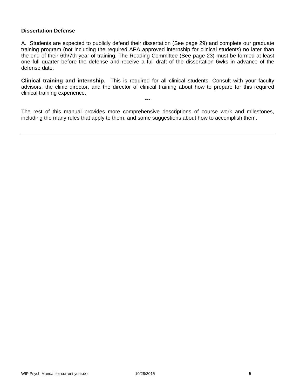### **Dissertation Defense**

A. Students are expected to publicly defend their dissertation (See page 29) and complete our graduate training program (not including the required APA approved internship for clinical students) no later than the end of their 6th/7th year of training. The Reading Committee (See page 23) must be formed at least one full quarter before the defense and receive a full draft of the dissertation 6wks in advance of the defense date.

**Clinical training and internship**. This is required for all clinical students. Consult with your faculty advisors, the clinic director, and the director of clinical training about how to prepare for this required clinical training experience.

---

The rest of this manual provides more comprehensive descriptions of course work and milestones, including the many rules that apply to them, and some suggestions about how to accomplish them.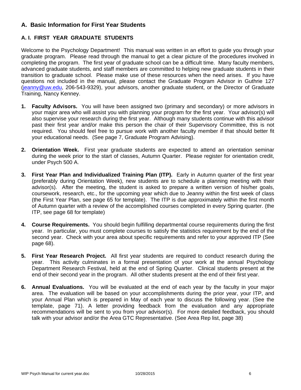# **A. Basic Information for First Year Students**

# **A. I. FIRST YEAR GRADUATE STUDENTS**

Welcome to the Psychology Department! This manual was written in an effort to guide you through your graduate program. Please read through the manual to get a clear picture of the procedures involved in completing the program. The first year of graduate school can be a difficult time. Many faculty members, advanced graduate students, and staff members are committed to helping new graduate students in their transition to graduate school. Please make use of these resources when the need arises. If you have questions not included in the manual, please contact the Graduate Program Advisor in Guthrie 127 (jeanny@uw.edu, 206-543-9329), your advisors, another graduate student, or the Director of Graduate Training, Nancy Kenney.

- **1. Faculty Advisors.** You will have been assigned two (primary and secondary) or more advisors in your major area who will assist you with planning your program for the first year. Your advisor(s) will also supervise your research during the first year. Although many students continue with this advisor past their first year and/or make this person the chair of their Supervisory Committee, this is not required. You should feel free to pursue work with another faculty member if that should better fit your educational needs. (See page 7, Graduate Program Advising).
- **2. Orientation Week.** First year graduate students are expected to attend an orientation seminar during the week prior to the start of classes, Autumn Quarter. Please register for orientation credit, under Psych 500 A.
- **3. First Year Plan and Individualized Training Plan (ITP).** Early in Autumn quarter of the first year (preferably during Orientation Week), new students are to schedule a planning meeting with their advisor(s). After the meeting, the student is asked to prepare a written version of his/her goals, coursework, research, etc., for the upcoming year which due to Jeanny within the first week of class (the First Year Plan, see page 65 for template). The ITP is due approximately within the first month of Autumn quarter with a review of the accomplished courses completed in every Spring quarter. (the ITP, see page 68 for template)
- **4. Course Requirements.** You should begin fulfilling departmental course requirements during the first year. In particular, you must complete courses to satisfy the statistics requirement by the end of the second year. Check with your area about specific requirements and refer to your approved ITP (See page 68).
- **5. First Year Research Project.** All first year students are required to conduct research during the year. This activity culminates in a formal presentation of your work at the annual Psychology Department Research Festival, held at the end of Spring Quarter. Clinical students present at the end of their second year in the program. All other students present at the end of their first year.
- **6. Annual Evaluations.** You will be evaluated at the end of each year by the faculty in your major area. The evaluation will be based on your accomplishments during the prior year, your ITP, and your Annual Plan which is prepared in May of each year to discuss the following year. (See the template, page 71). A letter providing feedback from the evaluation and any appropriate recommendations will be sent to you from your advisor(s). For more detailed feedback, you should talk with your advisor and/or the Area GTC Representative. (See Area Rep list, page 38)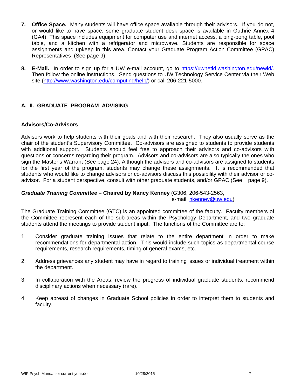- **7. Office Space.** Many students will have office space available through their advisors. If you do not, or would like to have space, some graduate student desk space is available in Guthrie Annex 4 (GA4). This space includes equipment for computer use and internet access, a ping-pong table, pool table, and a kitchen with a refrigerator and microwave. Students are responsible for space assignments and upkeep in this area. Contact your Graduate Program Action Committee (GPAC) Representatives (See page 9).
- **8. E-Mail.** In order to sign up for a UW e-mail account, go to https://uwnetid.washington.edu/newid/. Then follow the online instructions. Send questions to UW Technology Service Center via their Web site (http://www.washington.edu/computing/help/) or call 206-221-5000.

# **A. II. GRADUATE PROGRAM ADVISING**

### **Advisors/Co-Advisors**

Advisors work to help students with their goals and with their research. They also usually serve as the chair of the student's Supervisory Committee. Co-advisors are assigned to students to provide students with additional support. Students should feel free to approach their advisors and co-advisors with questions or concerns regarding their program. Advisors and co-advisors are also typically the ones who sign the Master's Warrant (See page 24). Although the advisors and co-advisors are assigned to students for the first year of the program, students may change these assignments. It is recommended that students who would like to change advisors or co-advisors discuss this possibility with their advisor or coadvisor. For a student perspective, consult with other graduate students, and/or GPAC (See page 9).

# *Graduate Training Committee –* **Chaired by Nancy Kenney** (G306, 206-543-2563,

e-mail: nkenney@uw.edu)

The Graduate Training Committee (GTC) is an appointed committee of the faculty. Faculty members of the Committee represent each of the sub-areas within the Psychology Department, and two graduate students attend the meetings to provide student input. The functions of the Committee are to:

- 1. Consider graduate training issues that relate to the entire department in order to make recommendations for departmental action. This would include such topics as departmental course requirements, research requirements, timing of general exams, etc.
- 2. Address grievances any student may have in regard to training issues or individual treatment within the department.
- 3. In collaboration with the Areas, review the progress of individual graduate students, recommend disciplinary actions when necessary (rare).
- 4. Keep abreast of changes in Graduate School policies in order to interpret them to students and faculty.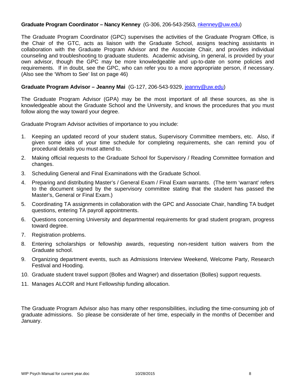### **Graduate Program Coordinator – Nancy Kenney** (G-306, 206-543-2563, nkenney@uw.edu)

The Graduate Program Coordinator (GPC) supervises the activities of the Graduate Program Office, is the Chair of the GTC, acts as liaison with the Graduate School, assigns teaching assistants in collaboration with the Graduate Program Advisor and the Associate Chair, and provides individual counseling and troubleshooting to graduate students. Academic advising, in general, is provided by your own advisor, though the GPC may be more knowledgeable and up-to-date on some policies and requirements. If in doubt, see the GPC, who can refer you to a more appropriate person, if necessary. (Also see the 'Whom to See' list on page 46)

#### **Graduate Program Advisor – Jeanny Mai** (G-127, 206-543-9329, jeanny@uw.edu)

The Graduate Program Advisor (GPA) may be the most important of all these sources, as she is knowledgeable about the Graduate School and the University, and knows the procedures that you must follow along the way toward your degree.

Graduate Program Advisor activities of importance to you include:

- 1. Keeping an updated record of your student status, Supervisory Committee members, etc. Also, if given some idea of your time schedule for completing requirements, she can remind you of procedural details you must attend to.
- 2. Making official requests to the Graduate School for Supervisory / Reading Committee formation and changes.
- 3. Scheduling General and Final Examinations with the Graduate School.
- 4. Preparing and distributing Master's / General Exam / Final Exam warrants. (The term 'warrant' refers to the document signed by the supervisory committee stating that the student has passed the Master's, General or Final Exam.)
- 5. Coordinating TA assignments in collaboration with the GPC and Associate Chair, handling TA budget questions, entering TA payroll appointments.
- 6. Questions concerning University and departmental requirements for grad student program, progress toward degree.
- 7. Registration problems.
- 8. Entering scholarships or fellowship awards, requesting non-resident tuition waivers from the Graduate school.
- 9. Organizing department events, such as Admissions Interview Weekend, Welcome Party, Research Festival and Hooding.
- 10. Graduate student travel support (Bolles and Wagner) and dissertation (Bolles) support requests.
- 11. Manages ALCOR and Hunt Fellowship funding allocation.

The Graduate Program Advisor also has many other responsibilities, including the time-consuming job of graduate admissions. So please be considerate of her time, especially in the months of December and January.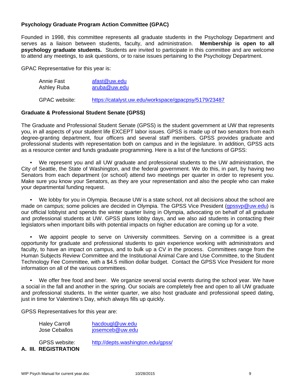# **Psychology Graduate Program Action Committee (GPAC)**

Founded in 1998, this committee represents all graduate students in the Psychology Department and serves as a liaison between students, faculty, and administration. **Membership is open to all psychology graduate students.** Students are invited to participate in this committee and are welcome to attend any meetings, to ask questions, or to raise issues pertaining to the Psychology Department.

GPAC Representative for this year is:

| Annie Fast           | afast@uw.edu                                         |
|----------------------|------------------------------------------------------|
| Ashley Ruba          | aruba@uw.edu                                         |
| <b>GPAC</b> website: | https://catalyst.uw.edu/workspace/gpacpsy/5179/23487 |

# **Graduate & Professional Student Senate (GPSS)**

The Graduate and Professional Student Senate (GPSS) is the student government at UW that represents you, in all aspects of your student life EXCEPT labor issues. GPSS is made up of two senators from each degree-granting department, four officers and several staff members. GPSS provides graduate and professional students with representation both on campus and in the legislature. In addition, GPSS acts as a resource center and funds graduate programming. Here is a list of the functions of GPSS:

 • We represent you and all UW graduate and professional students to the UW administration, the City of Seattle, the State of Washington, and the federal government. We do this, in part, by having two Senators from each department (or school) attend two meetings per quarter in order to represent you. Make sure you know your Senators, as they are your representation and also the people who can make your departmental funding request.

 • We lobby for you in Olympia. Because UW is a state school, not all decisions about the school are made on campus; some policies are decided in Olympia. The GPSS Vice President (qpssvp@uw.edu) is our official lobbyist and spends the winter quarter living in Olympia, advocating on behalf of all graduate and professional students at UW. GPSS plans lobby days, and we also aid students in contacting their legislators when important bills with potential impacts on higher education are coming up for a vote.

 • We appoint people to serve on University committees. Serving on a committee is a great opportunity for graduate and professional students to gain experience working with administrators and faculty, to have an impact on campus, and to bulk up a CV in the process. Committees range from the Human Subjects Review Committee and the Institutional Animal Care and Use Committee, to the Student Technology Fee Committee, with a \$4.5 million dollar budget. Contact the GPSS Vice President for more information on all of the various committees.

 • We offer free food and beer. We organize several social events during the school year. We have a social in the fall and another in the spring. Our socials are completely free and open to all UW graduate and professional students. In the winter quarter, we also host graduate and professional speed dating, just in time for Valentine's Day, which always fills up quickly.

GPSS Representatives for this year are:

| <b>Haley Carroll</b> | hacdougl@uw.edu |
|----------------------|-----------------|
| Jose Ceballos        | josemceb@uw.edu |

**A. III. REGISTRATION** 

GPSS website: http://depts.washington.edu/gpss/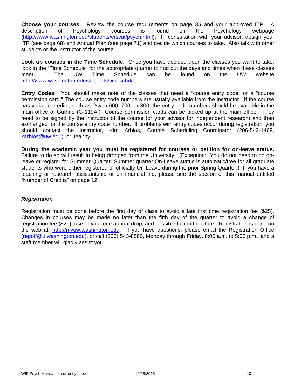**Choose your courses**. Review the course requirements on page 35 and your approved ITP. A description of Psychology courses is found on the Psychology webpage (http://www.washington.edu/students/crscat/psych.html). In consultation with your advisor, design your ITP (see page 68) and Annual Plan (see page 71) and decide which courses to take. Also talk with other students or the instructor of the course.

**Look up courses in the Time Schedule**. Once you have decided upon the classes you want to take, look in the "Time Schedule" for the appropriate quarter to find out the days and times when these classes meet. The UW Time Schedule can be found on the UW website http://www.washington.edu/students/timeschd/.

**Entry Codes**. You should make note of the classes that need a "course entry code" or a "course permission card." The course entry code numbers are usually available from the instructor. If the course has variable credits, such as Psych 600, 700, or 800, the entry code numbers should be available in the main office of Guthrie (G-119A.) Course permission cards can be picked up at the main office. They need to be signed by the instructor of the course (or your advisor for independent research) and then exchanged for the course entry code number. If problems with entry codes occur during registration, you should contact the instructor, Kim Arbios, Course Scheduling Coordinator (206-543-1469, karbios@uw.edu), or Jeanny.

**During the academic year you must be registered for courses or petition for on-leave status.**  Failure to do so will result in being dropped from the University. (Exception: You do not need to go onleave or register for Summer Quarter. Summer quarter On-Leave status is automatic/free for all graduate students who were either registered or officially On-Leave during the prior Spring Quarter.) If you have a teaching or research assistantship or on financial aid, please see the section of this manual entitled "Number of Credits" on page 12.

### *Registration*

Registration must be done before the first day of class to avoid a late first time registration fee (\$25). Changes in courses may be made no later than the fifth day of the quarter to avoid a change of registration fee (\$20), use of your one annual drop, and possible tuition forfeiture. Registration is done on the web at: http://myuw.washington.edu. If you have questions, please email the Registration Office (regoff@u.washington.edu), or call (206) 543-8580, Monday through Friday, 8:00 a.m. to 5:00 p.m., and a staff member will gladly assist you.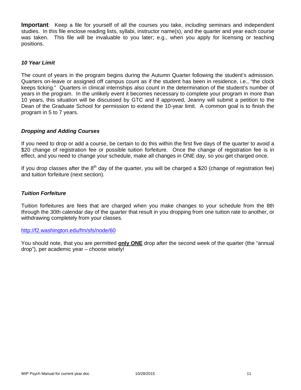**Important**: Keep a file for yourself of all the courses you take, *including* seminars and independent studies. In this file enclose reading lists, syllabi, instructor name(s), and the quarter and year each course was taken. This file will be invaluable to you later; e.g., when you apply for licensing or teaching positions.

#### *10 Year Limit*

The count of years in the program begins during the Autumn Quarter following the student's admission. Quarters on-leave or assigned off campus count as if the student has been in residence, i.e., "the clock keeps ticking." Quarters in clinical internships also count in the determination of the student's number of years in the program. In the unlikely event it becomes necessary to complete your program in more than 10 years, this situation will be discussed by GTC and if approved, Jeanny will submit a petition to the Dean of the Graduate School for permission to extend the 10-year limit. A common goal is to finish the program in 5 to 7 years.

### *Dropping and Adding Courses*

If you need to drop or add a course, be certain to do this within the first five days of the quarter to avoid a \$20 change of registration fee or possible tuition forfeiture. Once the change of registration fee is in effect, and you need to change your schedule, make all changes in ONE day, so you get charged once.

If you drop classes after the  $8<sup>th</sup>$  day of the quarter, you will be charged a \$20 (change of registration fee) and tuition forfeiture (next section).

#### *Tuition Forfeiture*

Tuition forfeitures are fees that are charged when you make changes to your schedule from the 8th through the 30th calendar day of the quarter that result in you dropping from one tuition rate to another, or withdrawing completely from your classes.

#### http://f2.washington.edu/fm/sfs/node/60

You should note, that you are permitted **only ONE** drop after the second week of the quarter (the "annual drop"), per academic year – choose wisely!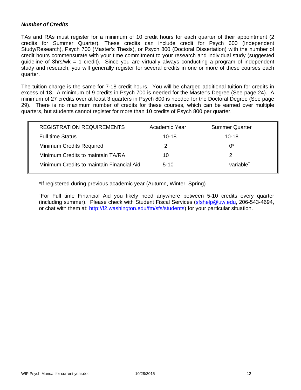# *Number of Credits*

TAs and RAs must register for a minimum of 10 credit hours for each quarter of their appointment (2 credits for Summer Quarter). These credits can include credit for Psych 600 (Independent Study/Research), Psych 700 (Master's Thesis), or Psych 800 (Doctoral Dissertation) with the number of credit hours commensurate with your time commitment to your research and individual study (suggested guideline of 3hrs/wk = 1 credit). Since you are virtually always conducting a program of independent study and research, you will generally register for several credits in one or more of these courses each quarter.

The tuition charge is the same for 7-18 credit hours. You will be charged additional tuition for credits in excess of 18. A minimum of 9 credits in Psych 700 is needed for the Master's Degree (See page 24). A minimum of 27 credits over at least 3 quarters in Psych 800 is needed for the Doctoral Degree (See page 29). There is no maximum number of credits for these courses, which can be earned over multiple quarters, but students cannot register for more than 10 credits of Psych 800 per quarter.

| <b>REGISTRATION REQUIREMENTS</b>          | Academic Year | <b>Summer Quarter</b> |
|-------------------------------------------|---------------|-----------------------|
| <b>Full time Status</b>                   | $10 - 18$     | $10 - 18$             |
| <b>Minimum Credits Required</b>           | 2             | $0^*$                 |
| Minimum Credits to maintain TA/RA         | 10            |                       |
| Minimum Credits to maintain Financial Aid | $5-10$        | variable <sup>+</sup> |
|                                           |               |                       |

\*If registered during previous academic year (Autumn, Winter, Spring)

+ For Full time Financial Aid you likely need anywhere between 5-10 credits every quarter (including summer). Please check with Student Fiscal Services (sfshelp@uw.edu, 206-543-4694, or chat with them at: http://f2.washington.edu/fm/sfs/students) for your particular situation.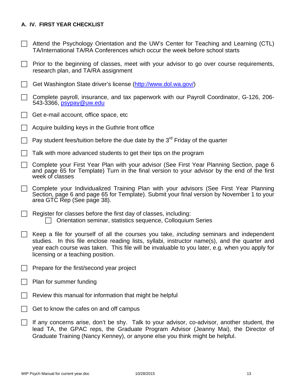# **A. IV. FIRST YEAR CHECKLIST**

- $\Box$  Attend the Psychology Orientation and the UW's Center for Teaching and Learning (CTL) TA/International TA/RA Conferences which occur the week before school starts
- $\Box$  Prior to the beginning of classes, meet with your advisor to go over course requirements, research plan, and TA/RA assignment
- Get Washington State driver's license (http://www.dol.wa.gov/)
- $\Box$  Complete payroll, insurance, and tax paperwork with our Payroll Coordinator, G-126, 206-543-3366, psypay@uw.edu
- $\Box$  Get e-mail account, office space, etc
- Acquire building keys in the Guthrie front office
- Pay student fees/tuition before the due date by the  $3<sup>rd</sup>$  Friday of the quarter
- $\Box$  Talk with more advanced students to get their tips on the program
- Complete your First Year Plan with your advisor (See First Year Planning Section, page 6 and page 65 for Template) Turn in the final version to your advisor by the end of the first week of classes
- Complete your Individualized Training Plan with your advisors (See First Year Planning Section, page 6 and page 65 for Template). Submit your final version by November 1 to your area GTC Rep (See page 38).
- $\Box$  Register for classes before the first day of classes, including:  $\Box$  Orientation seminar, statistics sequence, Colloquium Series
- Keep a file for yourself of all the courses you take, *including* seminars and independent studies. In this file enclose reading lists, syllabi, instructor name(s), and the quarter and year each course was taken. This file will be invaluable to you later, e.g. when you apply for licensing or a teaching position.
- $\Box$  Prepare for the first/second year project
- $\Box$  Plan for summer funding
- Review this manual for information that might be helpful
- Get to know the cafes on and off campus
- $\Box$  If any concerns arise, don't be shy. Talk to your advisor, co-advisor, another student, the lead TA, the GPAC reps, the Graduate Program Advisor (Jeanny Mai), the Director of Graduate Training (Nancy Kenney), or anyone else you think might be helpful.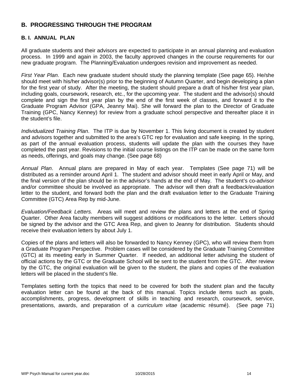# **B. PROGRESSING THROUGH THE PROGRAM**

# **B. I. ANNUAL PLAN**

All graduate students and their advisors are expected to participate in an annual planning and evaluation process. In 1999 and again in 2003, the faculty approved changes in the course requirements for our new graduate program. The Planning/Evaluation undergoes revision and improvement as needed.

*First Year Plan*. Each new graduate student should study the planning template (See page 65). He/she should meet with his/her advisor(s) prior to the beginning of Autumn Quarter, and begin developing a plan for the first year of study. After the meeting, the student should prepare a draft of his/her first year plan, including goals, coursework, research, etc., for the upcoming year. The student and the advisor(s) should complete and sign the first year plan by the end of the first week of classes, and forward it to the Graduate Program Advisor (GPA, Jeanny Mai). She will forward the plan to the Director of Graduate Training (GPC, Nancy Kenney) for review from a graduate school perspective and thereafter place it in the student's file.

*Individualized Training Plan*. The ITP is due by November 1. This living document is created by student and advisors together and submitted to the area's GTC rep for evaluation and safe keeping. In the spring, as part of the annual evaluation process, students will update the plan with the courses they have completed the past year. Revisions to the initial course listings on the ITP can be made on the same form as needs, offerings, and goals may change. (See page 68)

*Annual Plan*. Annual plans are prepared in May of each year. Templates (See page 71) will be distributed as a reminder around April 1. The student and advisor should meet in early April or May, and the final version of the plan should be in the advisor's hands at the end of May. The student's co-advisor and/or committee should be involved as appropriate. The advisor will then draft a feedback/evaluation letter to the student, and forward both the plan and the draft evaluation letter to the Graduate Training Committee (GTC) Area Rep by mid-June.

*Evaluation/Feedback Letters.* Areas will meet and review the plans and letters at the end of Spring Quarter. Other Area faculty members will suggest additions or modifications to the letter. Letters should be signed by the advisor and the GTC Area Rep, and given to Jeanny for distribution. Students should receive their evaluation letters by about July 1.

Copies of the plans and letters will also be forwarded to Nancy Kenney (GPC), who will review them from a Graduate Program Perspective. Problem cases will be considered by the Graduate Training Committee (GTC) at its meeting early in Summer Quarter. If needed, an additional letter advising the student of official actions by the GTC or the Graduate School will be sent to the student from the GTC. After review by the GTC, the original evaluation will be given to the student, the plans and copies of the evaluation letters will be placed in the student's file.

Templates setting forth the topics that need to be covered for both the student plan and the faculty evaluation letter can be found at the back of this manual. Topics include items such as goals, accomplishments, progress, development of skills in teaching and research, coursework, service, presentations, awards, and preparation of a *curriculum vitae* (academic résumé). (See page 71)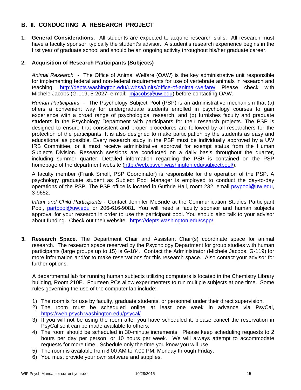# **B. II. CONDUCTING A RESEARCH PROJECT**

**1. General Considerations.** All students are expected to acquire research skills. All research must have a faculty sponsor, typically the student's advisor. A student's research experience begins in the first year of graduate school and should be an ongoing activity throughout his/her graduate career.

# **2. Acquisition of Research Participants (Subjects)**

*Animal Research* - The Office of Animal Welfare (OAW) is the key administrative unit responsible for implementing federal and non-federal requirements for use of vertebrate animals in research and teaching. http://depts.washington.edu/uwhsa/units/office-of-animal-welfare/ Please check with Michele Jacobs (G-119, 5-2027, e-mail: mjacobs@uw.edu) before contacting OAW.

*Human Participants -* The Psychology Subject Pool (PSP) is an administrative mechanism that (a) offers a convenient way for undergraduate students enrolled in psychology courses to gain experience with a broad range of psychological research, and (b) furnishes faculty and graduate students in the Psychology Department with participants for their research projects. The PSP is designed to ensure that consistent and proper procedures are followed by all researchers for the protection of the participants. It is also designed to make participation by the students as easy and educational as possible. Every research study in the PSP must be individually approved by a UW IRB Committee, or it must receive administrative approval for exempt status from the Human Subjects Division. Research sessions are conducted on a daily basis throughout the quarter, including summer quarter. Detailed information regarding the PSP is contained on the PSP homepage of the department website (http://web.psych.washington.edu/subjectpool/).

A faculty member (Frank Smoll, PSP Coordinator) is responsible for the operation of the PSP. A psychology graduate student as Subject Pool Manager is employed to conduct the day-to-day operations of the PSP. The PSP office is located in Guthrie Hall, room 232, email psypool@uw.edu, 3-9652.

*Infant and Child Participants* - Contact Jennifer McBride at the Communication Studies Participant Pool, partpool@uw.edu or 206-616-9081. You will need a faculty sponsor and human subjects approval for your research in order to use the participant pool. You should also talk to your advisor about funding. Check out their website: https://depts.washington.edu/cspp/

**3. Research Space.** The Department Chair and Assistant Chair(s) coordinate space for animal research. The research space reserved by the Psychology Department for group studies with human participants (large groups up to 15) is G-184. Contact the Administrator (Michele Jacobs, G-119) for more information and/or to make reservations for this research space. Also contact your advisor for further options.

A departmental lab for running human subjects utilizing computers is located in the Chemistry Library building, Room 210E. Fourteen PCs allow experimenters to run multiple subjects at one time. Some rules governing the use of the computer lab include:

- 1) The room is for use by faculty, graduate students, or personnel under their direct supervision.
- 2) The room must be scheduled online at least one week in advance via PsyCal, https://web.psych.washington.edu/psycal/
- 3) If you will not be using the room after you have scheduled it, please cancel the reservation in PsyCal so it can be made available to others.
- 4) The room should be scheduled in 30-minute increments. Please keep scheduling requests to 2 hours per day per person, or 10 hours per week. We will always attempt to accommodate requests for more time. Schedule only the time you know you will use.
- 5) The room is available from 8:00 AM to 7:00 PM, Monday through Friday.
- 6) You must provide your own software and supplies.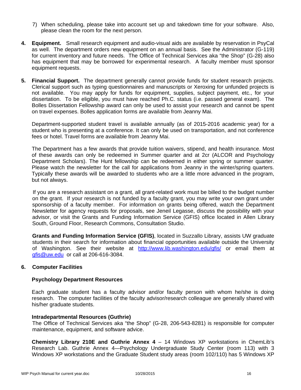- 7) When scheduling, please take into account set up and takedown time for your software. Also, please clean the room for the next person.
- **4. Equipment.** Small research equipment and audio-visual aids are available by reservation in PsyCal as well. The department orders new equipment on an annual basis. See the Administrator (G-119) for current inventory and future needs. The Office of Technical Services aka "the Shop" (G-28) also has equipment that may be borrowed for experimental research. A faculty member must sponsor equipment requests.
- **5. Financial Support.** The department generally cannot provide funds for student research projects. Clerical support such as typing questionnaires and manuscripts or Xeroxing for unfunded projects is not available. You may apply for funds for equipment, supplies, subject payment, etc., for your dissertation. To be eligible, you must have reached Ph.C. status (i.e. passed general exam). The Bolles Dissertation Fellowship award can only be used to assist your research and cannot be spent on travel expenses. Bolles application forms are available from Jeanny Mai.

Department-supported student travel is available annually (as of 2015-2016 academic year) for a student who is presenting at a conference. It can only be used on transportation, and not conference fees or hotel. Travel forms are available from Jeanny Mai.

The Department has a few awards that provide tuition waivers, stipend, and health insurance. Most of these awards can only be redeemed in Summer quarter and at 2cr (ALCOR and Psychology Department Scholars). The Hunt fellowship can be redeemed in either spring or summer quarter. Please watch the newsletter for the call for applications from Jeanny in the winter/spring quarters. Typically these awards will be awarded to students who are a little more advanced in the program, but not always.

If you are a research assistant on a grant, all grant-related work must be billed to the budget number on the grant. If your research is not funded by a faculty grant, you may write your own grant under sponsorship of a faculty member. For information on grants being offered, watch the Department Newsletter for agency requests for proposals, see Jeneil Legasse, discuss the possibility with your advisor, or visit the Grants and Funding Information Service (GFIS) office located in Allen Library South, Ground Floor, Research Commons, Consultation Studio.

**Grants and Funding Information Service (GFIS)**, located in Suzzallo Library, assists UW graduate students in their search for information about financial opportunities available outside the University of Washington. See their website at http://www.lib.washington.edu/gfis/ or email them at gfis@uw.edu or call at 206-616-3084.

### **6. Computer Facilities**

### **Psychology Department Resources**

Each graduate student has a faculty advisor and/or faculty person with whom he/she is doing research. The computer facilities of the faculty advisor/research colleague are generally shared with his/her graduate students.

### **Intradepartmental Resources (Guthrie)**

The Office of Technical Services aka "the Shop" (G-28, 206-543-8281) is responsible for computer maintenance, equipment, and software advice.

**Chemistry Library 210E and Guthrie Annex 4** – 14 Windows XP workstations in ChemLib's Research Lab. Guthrie Annex 4—Psychology Undergraduate Study Center (room 113) with 3 Windows XP workstations and the Graduate Student study areas (room 102/110) has 5 Windows XP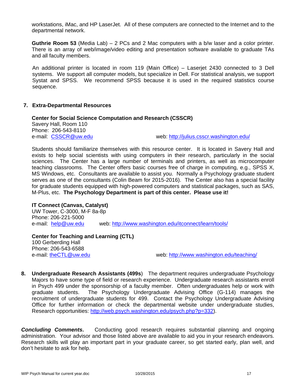workstations, iMac, and HP LaserJet. All of these computers are connected to the Internet and to the departmental network.

**Guthrie Room 53** (Media Lab) – 2 PCs and 2 Mac computers with a b/w laser and a color printer. There is an array of web/image/video editing and presentation software available to graduate TAs and all faculty members.

An additional printer is located in room 119 (Main Office) – Laserjet 2430 connected to 3 Dell systems. We support all computer models, but specialize in Dell. For statistical analysis, we support Systat and SPSS. We recommend SPSS because it is used in the required statistics course sequence.

# **7. Extra-Departmental Resources**

**Center for Social Science Computation and Research (CSSCR)** Savery Hall, Room 110 Phone: 206-543-8110 e-mail: CSSCR@uw.edu web: http://julius.csscr.washington.edu/

Students should familiarize themselves with this resource center. It is located in Savery Hall and exists to help social scientists with using computers in their research, particularly in the social sciences. The Center has a large number of terminals and printers, as well as microcomputer teaching classrooms. The Center offers basic courses free of charge in computing, e.g., SPSS X, MS Windows, etc. Consultants are available to assist you. Normally a Psychology graduate student serves as one of the consultants (Colin Beam for 2015-2016). The Center also has a special facility for graduate students equipped with high-powered computers and statistical packages, such as SAS, M-Plus, etc. **The Psychology Department is part of this center. Please use it!**

# **IT Connect (Canvas, Catalyst)**

UW Tower, C-3000, M-F 8a-8p Phone: 206-221-5000 e-mail: help@uw.edu web: http://www.washington.edu/itconnect/learn/tools/

# **Center for Teaching and Learning (CTL)**  100 Gerberding Hall Phone: 206-543-6588<br>e-mail: theCTL@uw.edu

web: http://www.washington.edu/teaching/

**8. Undergraduate Research Assistants (499s**) The department requires undergraduate Psychology Majors to have some type of field or research experience. Undergraduate research assistants enroll in Psych 499 under the sponsorship of a faculty member. Often undergraduates help or work with graduate students. The Psychology Undergraduate Advising Office (G-114) manages the recruitment of undergraduate students for 499. Contact the Psychology Undergraduate Advising Office for further information or check the departmental website under undergraduate studies, Research opportunities: http://web.psych.washington.edu/psych.php?p=332).

**Concluding Comments.** Conducting good research requires substantial planning and ongoing administration. Your advisor and those listed above are available to aid you in your research endeavors. Research skills will play an important part in your graduate career, so get started early, plan well, and don't hesitate to ask for help.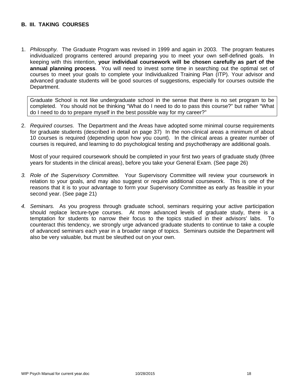# **B. III. TAKING COURSES**

1. *Philosophy.* The Graduate Program was revised in 1999 and again in 2003. The program features individualized programs centered around preparing you to meet your own self-defined goals. In keeping with this intention, **your individual coursework will be chosen carefully as part of the annual planning process**. You will need to invest some time in searching out the optimal set of courses to meet your goals to complete your Individualized Training Plan (ITP). Your advisor and advanced graduate students will be good sources of suggestions, especially for courses outside the Department.

Graduate School is not like undergraduate school in the sense that there is no set program to be completed. You should not be thinking "What do I need to do to pass this course?" but rather "What do I need to do to prepare myself in the best possible way for my career?"

2. *Required courses.* The Department and the Areas have adopted some minimal course requirements for graduate students (described in detail on page 37) In the non-clinical areas a minimum of about 10 courses is required (depending upon how you count). In the clinical areas a greater number of courses is required, and learning to do psychological testing and psychotherapy are additional goals.

Most of your required coursework should be completed in your first two years of graduate study (three years for students in the clinical areas), before you take your General Exam. (See page 26)

- *3. Role of the Supervisory Committee.* Your Supervisory Committee will review your coursework in relation to your goals, and may also suggest or require additional coursework. This is one of the reasons that it is to your advantage to form your Supervisory Committee as early as feasible in your second year. (See page 21)
- *4. Seminars.* As you progress through graduate school, seminars requiring your active participation should replace lecture-type courses. At more advanced levels of graduate study, there is a temptation for students to narrow their focus to the topics studied in their advisors' labs. To counteract this tendency, we strongly urge advanced graduate students to continue to take a couple of advanced seminars each year in a broader range of topics. Seminars outside the Department will also be very valuable, but must be sleuthed out on your own.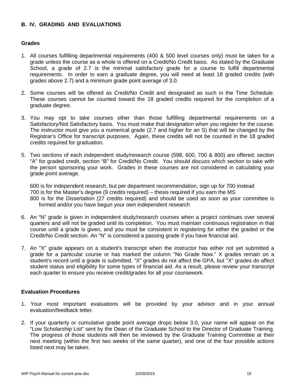# **B. IV. GRADING AND EVALUATIONS**

### **Grades**

- 1. All courses fulfilling departmental requirements (400 & 500 level courses only) must be taken for a grade unless the course as a whole is offered on a Credit/No Credit basis. As stated by the Graduate School, a grade of 2.7 is the minimal satisfactory grade for a course to fulfill departmental requirements. In order to earn a graduate degree, you will need at least 18 graded credits (with grades above 2.7) and a minimum grade point average of 3.0.
- 2. Some courses will be offered as Credit/No Credit and designated as such in the Time Schedule. These courses cannot be counted toward the 18 graded credits required for the completion of a graduate degree.
- 3. You may opt to take courses other than those fulfilling departmental requirements on a Satisfactory/Not Satisfactory basis. You must make that designation when you register for the course. The instructor must give you a numerical grade (2.7 and higher for an S) that will be changed by the Registrar's Office for transcript purposes. Again, these credits will not be counted in the 18 graded credits required for graduation.
- 5. Two sections of each independent study/research course (598, 600, 700 & 800) are offered; section "A" for graded credit, section "B" for Credit/No Credit. You should discuss which section to take with the person sponsoring your work. Grades in these courses are not considered in calculating your grade point average.

600 is for independent research, but per department recommendation, sign up for 700 instead 700 is for the Master's degree (9 credits required) – thesis required if you earn the MS 800 is for the Dissertation (27 credits required) and should be used as soon as your committee is formed and/or you have begun your own independent research

- 6. An "N" grade is given in independent study/research courses when a project continues over several quarters and will not be graded until its completion. You must maintain continuous registration in that course until a grade is given, and you must be consistent in registering for either the graded or the Credit/No Credit section. An "N" is considered a passing grade if you have financial aid.
- 7. An "X" grade appears on a student's transcript when the instructor has either not yet submitted a grade for a particular course or has marked the column "No Grade Now." X grades remain on a student's record until a grade is submitted. "X" grades do not affect the GPA, but "X" grades do affect student status and eligibility for some types of financial aid. As a result, please review your transcript each quarter to ensure you receive credit/grades for all your coursework.

### **Evaluation Procedures**

- 1. Your most important evaluations will be provided by your advisor and in your annual evaluation/feedback letter.
- 2. If your quarterly or cumulative grade point average drops below 3.0, your name will appear on the "Low Scholarship List" sent by the Dean of the Graduate School to the Director of Graduate Training. The progress of those students will then be reviewed by the Graduate Training Committee at their next meeting (within the first two weeks of the same quarter), and one of the four possible actions listed next may be taken.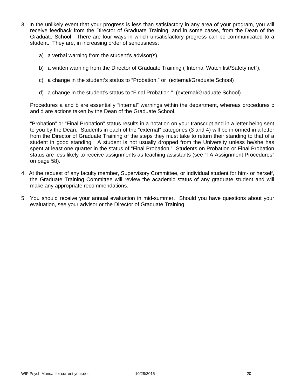- 3. In the unlikely event that your progress is less than satisfactory in any area of your program, you will receive feedback from the Director of Graduate Training, and in some cases, from the Dean of the Graduate School. There are four ways in which unsatisfactory progress can be communicated to a student. They are, in increasing order of seriousness:
	- a) a verbal warning from the student's advisor(s),
	- b) a written warning from the Director of Graduate Training ("Internal Watch list/Safety net"),
	- c) a change in the student's status to "Probation," or (external/Graduate School)
	- d) a change in the student's status to "Final Probation." (external/Graduate School)

Procedures a and b are essentially "internal" warnings within the department, whereas procedures c and d are actions taken by the Dean of the Graduate School.

"Probation" or "Final Probation" status results in a notation on your transcript and in a letter being sent to you by the Dean. Students in each of the "external" categories (3 and 4) will be informed in a letter from the Director of Graduate Training of the steps they must take to return their standing to that of a student in good standing. A student is not usually dropped from the University unless he/she has spent at least one quarter in the status of "Final Probation." Students on Probation or Final Probation status are less likely to receive assignments as teaching assistants (see "TA Assignment Procedures" on page 58).

- 4. At the request of any faculty member, Supervisory Committee, or individual student for him- or herself, the Graduate Training Committee will review the academic status of any graduate student and will make any appropriate recommendations.
- 5. You should receive your annual evaluation in mid-summer. Should you have questions about your evaluation, see your advisor or the Director of Graduate Training.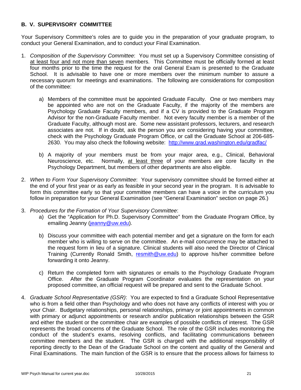# **B. V. SUPERVISORY COMMITTEE**

Your Supervisory Committee's roles are to guide you in the preparation of your graduate program, to conduct your General Examination, and to conduct your Final Examination.

- 1. *Composition of the Supervisory Committee*: You must set up a Supervisory Committee consisting of at least four and not more than seven members. This Committee must be officially formed at least four months prior to the time the request for the oral General Exam is presented to the Graduate School. It is advisable to have one or more members over the minimum number to assure a necessary quorum for meetings and examinations. The following are considerations for composition of the committee:
	- a) Members of the committee must be appointed Graduate Faculty. One or two members may be appointed who are not on the Graduate Faculty, if the majority of the members are Psychology Graduate Faculty members, and if a CV is provided to the Graduate Program Advisor for the non-Graduate Faculty member. Not every faculty member is a member of the Graduate Faculty, although most are. Some new assistant professors, lecturers, and research associates are not. If in doubt, ask the person you are considering having your committee, check with the Psychology Graduate Program Office, or call the Graduate School at 206-685- 2630. You may also check the following website: http://www.grad.washington.edu/gradfac/
	- b) A majority of your members must be from your major area, e.g., Clinical, Behavioral Neuroscience, etc. Normally, at least three of your members are core faculty in the Psychology Department, but members of other departments are also eligible.
- 2. *When to Form Your Supervisory Committee*: Your supervisory committee should be formed either at the end of your first year or as early as feasible in your second year in the program. It is advisable to form this committee early so that your committee members can have a voice in the curriculum you follow in preparation for your General Examination (see "General Examination" section on page 26.)
- 3. *Procedures for the Formation of Your Supervisory Committee*:
	- a) Get the "Application for Ph.D. Supervisory Committee" from the Graduate Program Office, by emailing Jeanny (jeanny@uw.edu).
	- b) Discuss your committee with each potential member and get a signature on the form for each member who is willing to serve on the committee. An e-mail concurrence may be attached to the request form in lieu of a signature. Clinical students will also need the Director of Clinical Training (Currently Ronald Smith, resmith@uw.edu) to approve his/her committee before forwarding it onto Jeanny.
	- c) Return the completed form with signatures or emails to the Psychology Graduate Program Office. After the Graduate Program Coordinator evaluates the representation on your proposed committee, an official request will be prepared and sent to the Graduate School.
- 4. *Graduate School Representative (GSR)*: You are expected to find a Graduate School Representative who is from a field other than Psychology and who does not have any conflicts of interest with you or your Chair. Budgetary relationships, personal relationships, primary or joint appointments in common with primary or adjunct appointments or research and/or publication relationships between the GSR and either the student or the committee chair are examples of possible conflicts of interest. The GSR represents the broad concerns of the Graduate School. The role of the GSR includes monitoring the conduct of the student's exams, resolving conflicts, and facilitating communications between committee members and the student. The GSR is charged with the additional responsibility of reporting directly to the Dean of the Graduate School on the content and quality of the General and Final Examinations. The main function of the GSR is to ensure that the process allows for fairness to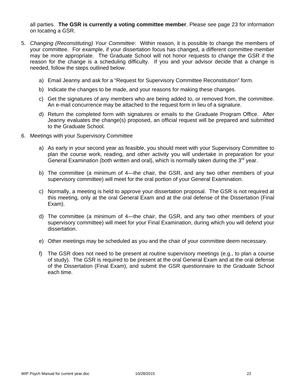all parties. **The GSR is currently a voting committee member**. Please see page 23 for information on locating a GSR.

- 5. *Changing (Reconstituting) Your Committee*: Within reason, it is possible to change the members of your committee. For example, if your dissertation focus has changed, a different committee member may be more appropriate. The Graduate School will not honor requests to change the GSR if the reason for the change is a scheduling difficulty. If you and your advisor decide that a change is needed, follow the steps outlined below.
	- a) Email Jeanny and ask for a "Request for Supervisory Committee Reconstitution" form.
	- b) Indicate the changes to be made, and your reasons for making these changes.
	- c) Get the signatures of any members who are being added to, or removed from, the committee. An e-mail concurrence may be attached to the request form in lieu of a signature.
	- d) Return the completed form with signatures or emails to the Graduate Program Office. After Jeanny evaluates the change(s) proposed, an official request will be prepared and submitted to the Graduate School.
- 6. Meetings with your Supervisory Committee
	- a) As early in your second year as feasible, you should meet with your Supervisory Committee to plan the course work, reading, and other activity you will undertake in preparation for your General Examination (both written and oral), which is normally taken during the  $3<sup>rd</sup>$  year.
	- b) The committee (a minimum of 4—the chair, the GSR, and any two other members of your supervisory committee) will meet for the oral portion of your General Examination.
	- c) Normally, a meeting is held to approve your dissertation proposal. The GSR is not required at this meeting, only at the oral General Exam and at the oral defense of the Dissertation (Final Exam).
	- d) The committee (a minimum of 4—the chair, the GSR, and any two other members of your supervisory committee) will meet for your Final Examination, during which you will defend your dissertation.
	- e) Other meetings may be scheduled as you and the chair of your committee deem necessary.
	- f) The GSR does not need to be present at routine supervisory meetings (e.g., to plan a course of study). The GSR is required to be present at the oral General Exam and at the oral defense of the Dissertation (Final Exam), and submit the GSR questionnaire to the Graduate School each time.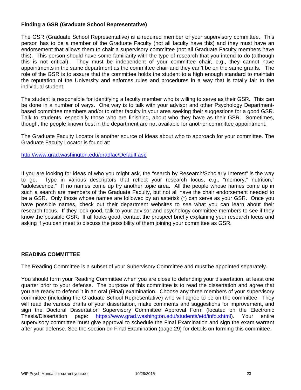# **Finding a GSR (Graduate School Representative)**

The GSR (Graduate School Representative) is a required member of your supervisory committee. This person has to be a member of the Graduate Faculty (not all faculty have this) and they must have an endorsement that allows them to chair a supervisory committee (not all Graduate Faculty members have this). This person should have some familiarity with the type of research that you intend to do (although this is not critical). They must be independent of your committee chair, e.g., they cannot have appointments in the same department as the committee chair and they can't be on the same grants. The role of the GSR is to assure that the committee holds the student to a high enough standard to maintain the reputation of the University and enforces rules and procedures in a way that is totally fair to the individual student.

The student is responsible for identifying a faculty member who is willing to serve as their GSR. This can be done in a number of ways. One way is to talk with your advisor and other Psychology Departmentbased committee members and/or to other faculty in your area seeking their suggestions for a good GSR. Talk to students, especially those who are finishing, about who they have as their GSR. Sometimes, though, the people known best in the department are not available for another committee appointment.

The Graduate Faculty Locator is another source of ideas about who to approach for your committee. The Graduate Faculty Locator is found at:

http://www.grad.washington.edu/gradfac/Default.asp

If you are looking for ideas of who you might ask, the "search by Research/Scholarly Interest" is the way to go. Type in various descriptors that reflect your research focus, e.g., "memory," nutrition," "adolescence." If no names come up try another topic area. All the people whose names come up in such a search are members of the Graduate Faculty, but not all have the chair endorsement needed to be a GSR. Only those whose names are followed by an asterisk (\*) can serve as your GSR. Once you have possible names, check out their department websites to see what you can learn about their research focus. If they look good, talk to your advisor and psychology committee members to see if they know the possible GSR. If all looks good, contact the prospect briefly explaining your research focus and asking if you can meet to discuss the possibility of them joining your committee as GSR.

### **READING COMMITTEE**

The Reading Committee is a subset of your Supervisory Committee and must be appointed separately.

You should form your Reading Committee when you are close to defending your dissertation, at least one quarter prior to your defense. The purpose of this committee is to read the dissertation and agree that you are ready to defend it in an oral (Final) examination. Choose any three members of your supervisory committee (including the Graduate School Representative) who will agree to be on the committee. They will read the various drafts of your dissertation, make comments and suggestions for improvement, and sign the Doctoral Dissertation Supervisory Committee Approval Form (located on the Electronic Thesis/Dissertation page: https://www.grad.washington.edu/students/etd/info.shtml). Your entire supervisory committee must give approval to schedule the Final Examination and sign the exam warrant after your defense. See the section on Final Examination (page 29) for details on forming this committee.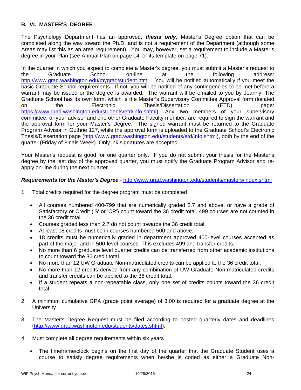# **B. VI. MASTER'S DEGREE**

The Psychology Department has an approved, *thesis only,* Master's Degree option that can be completed along the way toward the Ph.D. and is not a requirement of the Department (although some Areas may list this as an area requirement). You may, however, set a requirement to include a Master's degree in your Plan (see Annual Plan on page 14, or its template on page 71).

In the quarter in which you expect to complete a Master's degree, you must submit a Master's request to the Graduate School on-line at the following address: http://www.grad.washington.edu/mygrad/student.htm. You will be notified automatically if you meet the basic Graduate School requirements. If not, you will be notified of any contingencies to be met before a warrant may be issued or the degree is awarded. The warrant will be emailed to you by Jeanny. The Graduate School has its own form, which is the Master's Supervisory Committee Approval form (located on the Electronic Thesis/Dissertation (ETD) page: https://www.grad.washington.edu/students/etd/info.shtml). Any two members of your supervisory committee, or your advisor and one other Graduate Faculty member, are required to sign the warrant and the approval form for your Master's Degree. The signed warrant must be returned to the Graduate Program Advisor in Guthrie 127, while the approval form is uploaded to the Graduate School's Electronic Thesis/Dissertation page (http://www.grad.washington.edu/students/etd/info.shtml), both by the end of the quarter (Friday of Finals Week). Only ink signatures are accepted.

Your Master's request is good for one quarter only. If you do not submit your thesis for the Master's degree by the last day of the approved quarter, you must notify the Graduate Program Advisor and reapply on-line during the next quarter.

### *Requirements for the Master's Degree* - http://www.grad.washington.edu/students/masters/index.shtml

- 1. Total credits required for the degree program must be completed
	- All courses numbered 400-799 that are numerically graded 2.7 and above, or have a grade of Satisfactory or Credit ('S' or 'CR') count toward the 36 credit total. 499 courses are not counted in the 36 credit total.
	- Courses graded less than 2.7 do not count towards the 36 credit total.
	- At least 18 credits must be in courses numbered 500 and above.
	- 18 credits must be numerically graded in department approved 400-level courses accepted as part of the major and in 500-level courses. This excludes 499 and transfer credits.
	- No more than 6 graduate level quarter credits can be transferred from other academic institutions to count toward the 36 credit total.
	- No more than 12 UW Graduate Non-matriculated credits can be applied to the 36 credit total.
	- No more than 12 credits derived from any combination of UW Graduate Non-matriculated credits and transfer credits can be applied to the 36 credit total.
	- If a student repeats a non-repeatable class, only one set of credits counts toward the 36 credit total.
- 2. A minimum cumulative GPA (grade point average) of 3.00 is required for a graduate degree at the **University**
- 3. The Master's Degree Request must be filed according to posted quarterly dates and deadlines (http://www.grad.washington.edu/students/dates.shtml).
- 4. Must complete all degree requirements within six years
	- The timeframe/clock begins on the first day of the quarter that the Graduate Student uses a course to satisfy degree requirements when he/she is coded as either a Graduate Non-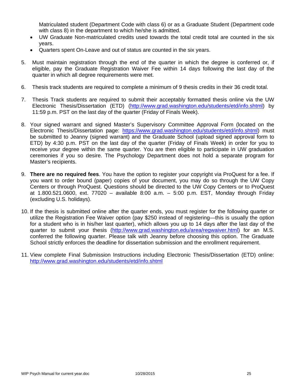Matriculated student (Department Code with class 6) or as a Graduate Student (Department code with class 8) in the department to which he/she is admitted.

- UW Graduate Non-matriculated credits used towards the total credit total are counted in the six years.
- Quarters spent On-Leave and out of status are counted in the six years.
- 5. Must maintain registration through the end of the quarter in which the degree is conferred or, if eligible, pay the Graduate Registration Waiver Fee within 14 days following the last day of the quarter in which all degree requirements were met.
- 6. Thesis track students are required to complete a minimum of 9 thesis credits in their 36 credit total.
- 7. Thesis Track students are required to submit their acceptably formatted thesis online via the UW Electronic Thesis/Dissertation (ETD) (http://www.grad.washington.edu/students/etd/info.shtml) by 11:59 p.m. PST on the last day of the quarter (Friday of Finals Week).
- 8. Your signed warrant and signed Master's Supervisory Committee Approval Form (located on the Electronic Thesis/Dissertation page: https://www.grad.washington.edu/students/etd/info.shtml) must be submitted to Jeanny (signed warrant) and the Graduate School (upload signed approval form to ETD) by 4:30 p.m. PST on the last day of the quarter (Friday of Finals Week) in order for you to receive your degree within the same quarter. You are then eligible to participate in UW graduation ceremonies if you so desire. The Psychology Department does not hold a separate program for Master's recipients.
- 9. **There are no required fees**. You have the option to register your copyright via ProQuest for a fee. If you want to order bound (paper) copies of your document, you may do so through the UW Copy Centers or through ProQuest. Questions should be directed to the UW Copy Centers or to ProQuest at 1.800.521.0600, ext. 77020 – available 8:00 a.m. – 5:00 p.m. EST, Monday through Friday (excluding U.S. holidays).
- 10. If the thesis is submitted online after the quarter ends, you must register for the following quarter or utilize the Registration Fee Waiver option (pay \$250 instead of registering—this is usually the option for a student who is in his/her last quarter), which allows you up to 14 days after the last day of the quarter to submit your thesis (http://www.grad.washington.edu/area/regwaiver.html) for an M.S. conferred the following quarter. Please talk with Jeanny before choosing this option. The Graduate School strictly enforces the deadline for dissertation submission and the enrollment requirement.
- 11. View complete Final Submission Instructions including Electronic Thesis/Dissertation (ETD) online: http://www.grad.washington.edu/students/etd/info.shtml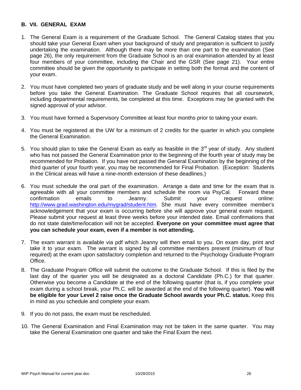# **B. VII. GENERAL EXAM**

- 1. The General Exam is a requirement of the Graduate School. The General Catalog states that you should take your General Exam when your background of study and preparation is sufficient to justify undertaking the examination. Although there may be more than one part to the examination (See page 26), the only requirement from the Graduate School is an oral examination attended by at least four members of your committee, including the Chair and the GSR (See page 21). Your entire committee should be given the opportunity to participate in setting both the format and the content of your exam.
- 2. You must have completed two years of graduate study and be well along in your course requirements before you take the General Examination. The Graduate School requires that all coursework, including departmental requirements, be completed at this time. Exceptions may be granted with the signed approval of your advisor.
- 3. You must have formed a Supervisory Committee at least four months prior to taking your exam.
- 4. You must be registered at the UW for a minimum of 2 credits for the quarter in which you complete the General Examination.
- 5. You should plan to take the General Exam as early as feasible in the  $3<sup>rd</sup>$  year of study. Any student who has not passed the General Examination prior to the beginning of the fourth year of study may be recommended for Probation. If you have not passed the General Examination by the beginning of the third quarter of your fourth year, you may be recommended for Final Probation. (Exception: Students in the Clinical areas will have a nine-month extension of these deadlines.)
- 6. You must schedule the oral part of the examination. Arrange a date and time for the exam that is agreeable with all your committee members and schedule the room via PsyCal. Forward these confirmation emails to Jeanny. Submit your request online: http://www.grad.washington.edu/mygrad/student.htm. She must have every committee member's acknowledgement that your exam is occurring before she will approve your general exam request. Please submit your request at least three weeks before your intended date. Email confirmations that do not state date/time/location will not be accepted. **Everyone on your committee must agree that you can schedule your exam, even if a member is not attending.**
- 7. The exam warrant is available via pdf which Jeanny will then email to you. On exam day, print and take it to your exam. The warrant is signed by all committee members present (minimum of four required) at the exam upon satisfactory completion and returned to the Psychology Graduate Program Office.
- 8. The Graduate Program Office will submit the outcome to the Graduate School. If this is filed by the last day of the quarter you will be designated as a doctoral Candidate (Ph.C.) for that quarter. Otherwise you become a Candidate at the end of the following quarter (that is, if you complete your exam during a school break, your Ph.C. will be awarded at the end of the following quarter). **You will be eligible for your Level 2 raise once the Graduate School awards your Ph.C. status.** Keep this in mind as you schedule and complete your exam.
- 9. If you do not pass, the exam must be rescheduled.
- 10. The General Examination and Final Examination may not be taken in the same quarter. You may take the General Examination one quarter and take the Final Exam the next.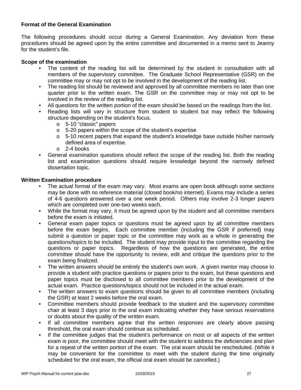# **Format of the General Examination**

The following procedures should occur during a General Examination. Any deviation from these procedures should be agreed upon by the entire committee and documented in a memo sent to Jeanny for the student's file.

### **Scope of the examination**

- The content of the reading list will be determined by the student in consultation with all members of the supervisory committee. The Graduate School Representative (GSR) on the committee may or may not opt to be involved in the development of the reading list.
- The reading list should be reviewed and approved by all committee members no later than one quarter prior to the written exam. The GSR on the committee may or may not opt to be involved in the review of the reading list.
- All questions for the written portion of the exam should be based on the readings from the list.
- Reading lists will vary in structure from student to student but may reflect the following structure depending on the student's focus.
	- o 5-10 "classic" papers
	- o 5-20 papers within the scope of the student's expertise
	- o 5-10 recent papers that expand the student's knowledge base outside his/her narrowly defined area of expertise.
	- o 2-4 books
- General examination questions should reflect the scope of the reading list. Both the reading list and examination questions should require knowledge beyond the narrowly defined dissertation topic.

#### **Written Examination procedure**

- The actual format of the exam may vary. Most exams are open book although some sections may be done with no reference material (closed book/no internet). Exams may include a series of 4-6 questions answered over a one week period. Others may involve 2-3 longer papers which are completed over one-two weeks each.
- While the format may vary, it must be agreed upon by the student and all committee members before the exam is initiated.
- General exam paper topics or questions must be agreed upon by all committee members before the exam begins. Each committee member (including the GSR if preferred) may submit a question or paper topic or the committee may work as a whole in generating the questions/topics to be included. The student may provide input to the committee regarding the questions or paper topics. Regardless of how the questions are generated, the entire committee should have the opportunity to review, edit and critique the questions prior to the exam being finalized.
- The written answers should be entirely the student's own work. A given mentor may choose to provide a student with practice questions or papers prior to the exam, but these questions and paper topics must be disclosed to all committee members prior to the development of the actual exam. Practice questions/topics should not be included in the actual exam.
- The written answers to exam questions should be given to all committee members (including the GSR) at least 2 weeks before the oral exam.
- Committee members should provide feedback to the student and the supervisory committee chair at least 3 days prior to the oral exam indicating whether they have serious reservations or doubts about the quality of the written exam.
- If all committee members agree that the written responses are clearly above passing threshold, the oral exam should continue as scheduled.
- If the committee judges that the student's performance on most or all aspects of the written exam is poor, the committee should meet with the student to address the deficiencies and plan for a repeat of the written portion of the exam. The oral exam should be rescheduled. (While it may be convenient for the committee to meet with the student during the time originally scheduled for the oral exam, the official oral exam should be cancelled.)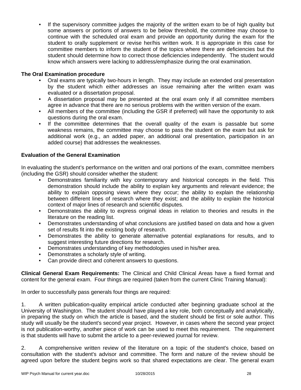• If the supervisory committee judges the majority of the written exam to be of high quality but some answers or portions of answers to be below threshold, the committee may choose to continue with the scheduled oral exam and provide an opportunity during the exam for the student to orally supplement or revise her/his written work. It is appropriate in this case for committee members to inform the student of the topics where there are deficiencies but the student should determine how to correct those deficiencies independently. The student would know which answers were lacking to address/emphasize during the oral examination.

# **The Oral Examination procedure**

- Oral exams are typically two-hours in length. They may include an extended oral presentation by the student which either addresses an issue remaining after the written exam was evaluated or a dissertation proposal.
- A dissertation proposal may be presented at the oral exam only if all committee members agree in advance that there are no serious problems with the written version of the exam.
- All members of the committee (including the GSR if preferred) will have the opportunity to ask questions during the oral exam.
- If the committee determines that the overall quality of the exam is passable but some weakness remains, the committee may choose to pass the student on the exam but ask for additional work (e.g., an added paper, an additional oral presentation, participation in an added course) that addresses the weaknesses.

# **Evaluation of the General Examination**

In evaluating the student's performance on the written and oral portions of the exam, committee members (including the GSR) should consider whether the student:

- Demonstrates familiarity with key contemporary and historical concepts in the field. This demonstration should include the ability to explain key arguments and relevant evidence; the ability to explain opposing views where they occur; the ability to explain the relationship between different lines of research where they exist; and the ability to explain the historical context of major lines of research and scientific disputes.
- Demonstrates the ability to express original ideas in relation to theories and results in the literature on the reading list.
- Demonstrates understanding of what conclusions are justified based on data and how a given set of results fit into the existing body of research.
- Demonstrates the ability to generate alternative potential explanations for results, and to suggest interesting future directions for research.
- Demonstrates understanding of key methodologies used in his/her area.
- Demonstrates a scholarly style of writing.
- Can provide direct and coherent answers to questions.

**Clinical General Exam Requirements:** The Clinical and Child Clinical Areas have a fixed format and content for the general exam. Four things are required (taken from the current Clinic Training Manual):

In order to successfully pass generals four things are required:

1. A written publication-quality empirical article conducted after beginning graduate school at the University of Washington. The student should have played a key role, both conceptually and analytically, in preparing the study on which the article is based, and the student should be first or sole author. This study will usually be the student's second year project. However, in cases where the second year project is not publication-worthy, another piece of work can be used to meet this requirement. The requirement is that students will have to submit the article to a peer-reviewed journal for review.

2. A comprehensive written review of the literature on a topic of the student's choice, based on consultation with the student's advisor and committee. The form and nature of the review should be agreed upon before the student begins work so that shared expectations are clear. The general exam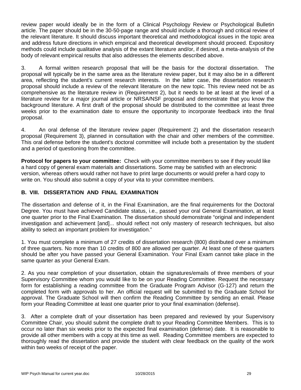review paper would ideally be in the form of a Clinical Psychology Review or Psychological Bulletin article. The paper should be in the 30-50-page range and should include a thorough and critical review of the relevant literature. It should discuss important theoretical and methodological issues in the topic area and address future directions in which empirical and theoretical development should proceed. Expository methods could include qualitative analysis of the extant literature and/or, if desired, a meta-analysis of the body of relevant empirical results that also addresses the elements described above.

3. A formal written research proposal that will be the basis for the doctoral dissertation. The proposal will typically be in the same area as the literature review paper, but it may also be in a different area, reflecting the student's current research interests. In the latter case, the dissertation research proposal should include a review of the relevant literature on the new topic. This review need not be as comprehensive as the literature review in (Requirement 2), but it needs to be at least at the level of a literature review for a major journal article or NRSA/NSF proposal and demonstrate that you know the background literature. A first draft of the proposal should be distributed to the committee at least three weeks prior to the examination date to ensure the opportunity to incorporate feedback into the final proposal.

4. An oral defense of the literature review paper (Requirement 2) and the dissertation research proposal (Requirement 3), planned in consultation with the chair and other members of the committee. This oral defense before the student's doctoral committee will include both a presentation by the student and a period of questioning from the committee.

**Protocol for papers to your committee:** Check with your committee members to see if they would like a hard copy of general exam materials and dissertations. Some may be satisfied with an electronic version, whereas others would rather not have to print large documents or would prefer a hard copy to write on. You should also submit a copy of your vita to your committee members.

# **B. VIII. DISSERTATION AND FINAL EXAMINATION**

The dissertation and defense of it, in the Final Examination, are the final requirements for the Doctoral Degree. You must have achieved Candidate status, i.e., passed your oral General Examination, at least one quarter prior to the Final Examination. The dissertation should demonstrate "original and independent investigation and achievement [and]... should reflect not only mastery of research techniques, but also ability to select an important problem for investigation."

1. You must complete a minimum of 27 credits of dissertation research (800) distributed over a minimum of three quarters. No more than 10 credits of 800 are allowed per quarter. At least one of these quarters should be after you have passed your General Examination. Your Final Exam cannot take place in the same quarter as your General Exam.

2. As you near completion of your dissertation, obtain the signatures/emails of three members of your Supervisory Committee whom you would like to be on your Reading Committee. Request the necessary form for establishing a reading committee from the Graduate Program Advisor (G-127) and return the completed form with approvals to her. An official request will be submitted to the Graduate School for approval. The Graduate School will then confirm the Reading Committee by sending an email. Please form your Reading Committee at least one quarter prior to your final examination (defense).

3. After a complete draft of your dissertation has been prepared and reviewed by your Supervisory Committee Chair, you should submit the complete draft to your Reading Committee Members. This is to occur no later than six weeks prior to the expected final examination (defense) date. It is reasonable to provide all other members with a copy at this time as well. Reading Committee members are expected to thoroughly read the dissertation and provide the student with clear feedback on the quality of the work within two weeks of receipt of the paper.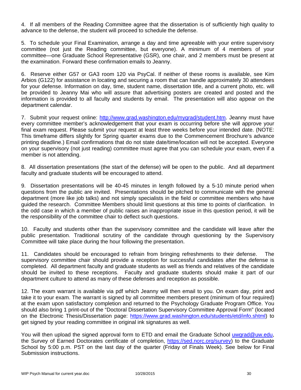4. If all members of the Reading Committee agree that the dissertation is of sufficiently high quality to advance to the defense, the student will proceed to schedule the defense.

5. To schedule your Final Examination, arrange a day and time agreeable with your entire supervisory committee (not just the Reading committee, but everyone). A minimum of 4 members of your committee—one Graduate School Representative (GSR), one chair, and 2 members must be present at the examination. Forward these confirmation emails to Jeanny.

6. Reserve either G57 or GA3 room 120 via PsyCal. If neither of these rooms is available, see Kim Arbios (G122) for assistance in locating and securing a room that can handle approximately 30 attendees for your defense. Information on day, time, student name, dissertation title, and a current photo, etc. will be provided to Jeanny Mai who will assure that advertising posters are created and posted and the information is provided to all faculty and students by email. The presentation will also appear on the department calendar.

7. Submit your request online: http://www.grad.washington.edu/mygrad/student.htm. Jeanny must have every committee member's acknowledgement that your exam is occurring before she will approve your final exam request. Please submit your request at least three weeks before your intended date. (NOTE: This timeframe differs slightly for Spring quarter exams due to the Commencement Brochure's advance printing deadline.) Email confirmations that do not state date/time/location will not be accepted. Everyone on your supervisory (not just reading) committee must agree that you can schedule your exam, even if a member is not attending.

8. All dissertation presentations (the start of the defense) will be open to the public. And all department faculty and graduate students will be encouraged to attend.

9. Dissertation presentations will be 40-45 minutes in length followed by a 5-10 minute period when questions from the public are invited. Presentations should be pitched to communicate with the general department (more like job talks) and not simply specialists in the field or committee members who have guided the research. Committee Members should limit questions at this time to points of clarification. In the odd case in which a member of public raises an inappropriate issue in this question period, it will be the responsibility of the committee chair to deflect such questions.

10. Faculty and students other than the supervisory committee and the candidate will leave after the public presentation. Traditional scrutiny of the candidate through questioning by the Supervisory Committee will take place during the hour following the presentation.

11. Candidates should be encouraged to refrain from bringing refreshments to their defense. The supervisory committee chair should provide a reception for successful candidates after the defense is completed. All department faculty and graduate students as well as friends and relatives of the candidate should be invited to these receptions. Faculty and graduate students should make it part of our department culture to attend as many of these defenses and reception as possible.

12. The exam warrant is available via pdf which Jeanny will then email to you. On exam day, print and take it to your exam. The warrant is signed by all committee members present (minimum of four required) at the exam upon satisfactory completion and returned to the Psychology Graduate Program Office. You should also bring 1 print-out of the "Doctoral Dissertation Supervisory Committee Approval Form" (located on the Electronic Thesis/Dissertation page: https://www.grad.washington.edu/students/etd/info.shtml) to get signed by your reading committee in original ink signatures as well.

You will then upload the signed approval form to ETD and email the Graduate School uwgrad@uw.edu, the Survey of Earned Doctorates certificate of completion, https://sed.norc.org/survey) to the Graduate School by 5:00 p.m. PST on the last day of the quarter (Friday of Finals Week). See below for Final Submission instructions.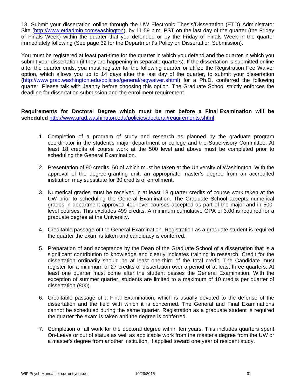13. Submit your dissertation online through the UW Electronic Thesis/Dissertation (ETD) Administrator Site (http://www.etdadmin.com/washington), by 11:59 p.m. PST on the last day of the quarter (the Friday of Finals Week) within the quarter that you defended or by the Friday of Finals Week in the quarter immediately following (See page 32 for the Department's Policy on Dissertation Submission).

You must be registered at least part-time for the quarter in which you defend and the quarter in which you submit your dissertation (if they are happening in separate quarters). If the dissertation is submitted online after the quarter ends, you must register for the following quarter or utilize the Registration Fee Waiver option, which allows you up to 14 days after the last day of the quarter, to submit your dissertation (http://www.grad.washington.edu/policies/general/regwaiver.shtml) for a Ph.D. conferred the following quarter. Please talk with Jeanny before choosing this option. The Graduate School strictly enforces the deadline for dissertation submission and the enrollment requirement.

**Requirements for Doctoral Degree which must be met before a Final Examination will be scheduled** http://www.grad.washington.edu/policies/doctoral/requirements.shtml

- 1. Completion of a program of study and research as planned by the graduate program coordinator in the student's major department or college and the Supervisory Committee. At least 18 credits of course work at the 500 level and above must be completed prior to scheduling the General Examination.
- 2. Presentation of 90 credits, 60 of which must be taken at the University of Washington. With the approval of the degree-granting unit, an appropriate master's degree from an accredited institution may substitute for 30 credits of enrollment.
- 3. Numerical grades must be received in at least 18 quarter credits of course work taken at the UW prior to scheduling the General Examination. The Graduate School accepts numerical grades in department approved 400-level courses accepted as part of the major and in 500 level courses. This excludes 499 credits. A minimum cumulative GPA of 3.00 is required for a graduate degree at the University.
- 4. Creditable passage of the General Examination. Registration as a graduate student is required the quarter the exam is taken and candidacy is conferred.
- 5. Preparation of and acceptance by the Dean of the Graduate School of a dissertation that is a significant contribution to knowledge and clearly indicates training in research. Credit for the dissertation ordinarily should be at least one-third of the total credit. The Candidate must register for a minimum of 27 credits of dissertation over a period of at least three quarters. At least one quarter must come after the student passes the General Examination. With the exception of summer quarter, students are limited to a maximum of 10 credits per quarter of dissertation (800).
- 6. Creditable passage of a Final Examination, which is usually devoted to the defense of the dissertation and the field with which it is concerned. The General and Final Examinations cannot be scheduled during the same quarter. Registration as a graduate student is required the quarter the exam is taken and the degree is conferred.
- 7. Completion of all work for the doctoral degree within ten years. This includes quarters spent On-Leave or out of status as well as applicable work from the master's degree from the UW or a master's degree from another institution, if applied toward one year of resident study.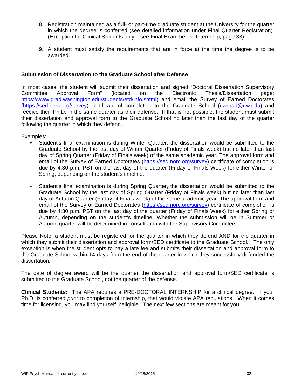- 8. Registration maintained as a full- or part-time graduate student at the University for the quarter in which the degree is conferred (see detailed information under Final Quarter Registration). (Exception for Clinical Students only – see Final Exam before Internship, page 33)
- 9. A student must satisfy the requirements that are in force at the time the degree is to be awarded.

# **Submission of Dissertation to the Graduate School after Defense**

In most cases, the student will submit their dissertation and signed "Doctoral Dissertation Supervisory Committee Approval Form" (located on the Electronic Thesis/Dissertation page: https://www.grad.washington.edu/students/etd/info.shtml) and email the Survey of Earned Doctorates (https://sed.norc.org/survey) certificate of completion to the Graduate School (uwgrad@uw.edu) and receive their Ph.D. in the same quarter as their defense. If that is not possible, the student must submit their dissertation and approval form to the Graduate School no later than the last day of the quarter following the quarter in which they defend.

Examples:

- Student's final examination is during Winter Quarter, the dissertation would be submitted to the Graduate School by the last day of Winter Quarter (Friday of Finals week) but no later than last day of Spring Quarter (Friday of Finals week) of the same academic year. The approval form and email of the Survey of Earned Doctorates (https://sed.norc.org/survey) certificate of completion is due by 4:30 p.m. PST on the last day of the quarter (Friday of Finals Week) for either Winter or Spring, depending on the student's timeline.
- Student's final examination is during Spring Quarter, the dissertation would be submitted to the Graduate School by the last day of Spring Quarter (Friday of Finals week) but no later than last day of Autumn Quarter (Friday of Finals week) of the same academic year. The approval form and email of the Survey of Earned Doctorates (https://sed.norc.org/survey) certificate of completion is due by 4:30 p.m. PST on the last day of the quarter (Friday of Finals Week) for either Spring or Autumn, depending on the student's timeline. Whether the submission will be in Summer or Autumn quarter will be determined in consultation with the Supervisory Committee.

Please Note: a student must be registered for the quarter in which they defend AND for the quarter in which they submit their dissertation and approval form/SED certificate to the Graduate School. The only exception is when the student opts to pay a late fee and submits their dissertation and approval form to the Graduate School within 14 days from the end of the quarter in which they successfully defended the dissertation.

The date of degree award will be the quarter the dissertation and approval form/SED certificate is submitted to the Graduate School, not the quarter of the defense.

**Clinical Students:** The APA requires a PRE-DOCTORAL INTERNSHIP for a clinical degree. If your Ph.D. is conferred *prior* to completion of internship, that would violate APA regulations. When it comes time for licensing, you may find yourself ineligible. The next few sections are meant for you!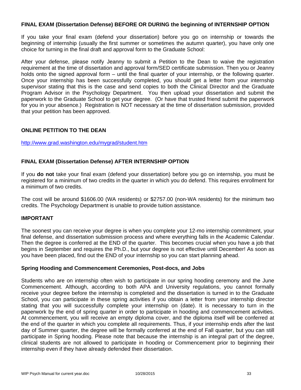### **FINAL EXAM (Dissertation Defense) BEFORE OR DURING the beginning of INTERNSHIP OPTION**

If you take your final exam (defend your dissertation) before you go on internship or towards the beginning of internship (usually the first summer or sometimes the autumn quarter), you have only one choice for turning in the final draft and approval form to the Graduate School:

After your defense, please notify Jeanny to submit a Petition to the Dean to waive the registration requirement at the time of dissertation and approval form/SED certificate submission. Then you or Jeanny holds onto the signed approval form – until the final quarter of your internship, or the following quarter. Once your internship has been successfully completed, you should get a letter from your internship supervisor stating that this is the case and send copies to both the Clinical Director and the Graduate Program Advisor in the Psychology Department. You then upload your dissertation and submit the paperwork to the Graduate School to get your degree. (Or have that trusted friend submit the paperwork for you in your absence.) Registration is NOT necessary at the time of dissertation submission, provided that your petition has been approved.

# **ONLINE PETITION TO THE DEAN**

### http://www.grad.washington.edu/mygrad/student.htm

# **FINAL EXAM (Dissertation Defense) AFTER INTERNSHIP OPTION**

If you **do not** take your final exam (defend your dissertation) before you go on internship, you must be registered for a minimum of two credits in the quarter in which you do defend. This requires enrollment for a minimum of two credits.

The cost will be around \$1606.00 (WA residents) or \$2757.00 (non-WA residents) for the minimum two credits. The Psychology Department is unable to provide tuition assistance.

### **IMPORTANT**

The soonest you can receive your degree is when you complete your 12-mo internship commitment, your final defense, and dissertation submission process and where everything falls in the Academic Calendar. Then the degree is conferred at the END of the quarter. This becomes crucial when you have a job that begins in September and requires the Ph.D., but your degree is not effective until December! As soon as you have been placed, find out the END of your internship so you can start planning ahead.

### **Spring Hooding and Commencement Ceremonies, Post-docs, and Jobs**

Students who are on internship often wish to participate in our spring hooding ceremony and the June Commencement. Although, according to both APA and University regulations, you cannot formally receive your degree before the internship is completed and the dissertation is turned in to the Graduate School, you can participate in these spring activities if you obtain a letter from your internship director stating that you will successfully complete your internship on (date). It is necessary to turn in the paperwork by the end of spring quarter in order to participate in hooding and commencement activities. At commencement, you will receive an empty diploma cover, and the diploma itself will be conferred at the end of the quarter in which you complete all requirements. Thus, if your internship ends after the last day of Summer quarter, the degree will be formally conferred at the end of Fall quarter, but you can still participate in Spring hooding. Please note that because the internship is an integral part of the degree, clinical students are not allowed to participate in hooding or Commencement prior to beginning their internship even if they have already defended their dissertation.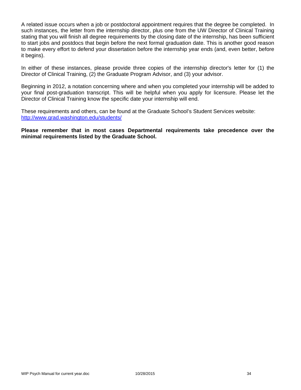A related issue occurs when a job or postdoctoral appointment requires that the degree be completed. In such instances, the letter from the internship director, plus one from the UW Director of Clinical Training stating that you will finish all degree requirements by the closing date of the internship, has been sufficient to start jobs and postdocs that begin before the next formal graduation date. This is another good reason to make every effort to defend your dissertation before the internship year ends (and, even better, before it begins).

In either of these instances, please provide three copies of the internship director's letter for (1) the Director of Clinical Training, (2) the Graduate Program Advisor, and (3) your advisor.

Beginning in 2012, a notation concerning where and when you completed your internship will be added to your final post-graduation transcript. This will be helpful when you apply for licensure. Please let the Director of Clinical Training know the specific date your internship will end.

These requirements and others, can be found at the Graduate School's Student Services website: http://www.grad.washington.edu/students/

**Please remember that in most cases Departmental requirements take precedence over the minimal requirements listed by the Graduate School.**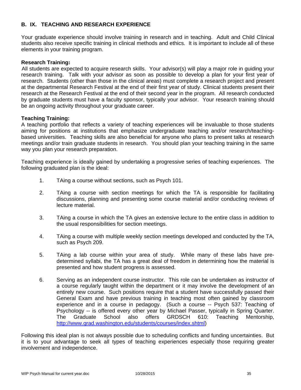# **B. IX. TEACHING AND RESEARCH EXPERIENCE**

Your graduate experience should involve training in research and in teaching. Adult and Child Clinical students also receive specific training in clinical methods and ethics. It is important to include all of these elements in your training program.

# **Research Training:**

All students are expected to acquire research skills. Your advisor(s) will play a major role in guiding your research training. Talk with your advisor as soon as possible to develop a plan for your first year of research. Students (other than those in the clinical areas) must complete a research project and present at the departmental Research Festival at the end of their first year of study. Clinical students present their research at the Research Festival at the end of their second year in the program. All research conducted by graduate students must have a faculty sponsor, typically your advisor. Your research training should be an ongoing activity throughout your graduate career.

# **Teaching Training:**

A teaching portfolio that reflects a variety of teaching experiences will be invaluable to those students aiming for positions at institutions that emphasize undergraduate teaching and/or research/teachingbased universities. Teaching skills are also beneficial for anyone who plans to present talks at research meetings and/or train graduate students in research. You should plan your teaching training in the same way you plan your research preparation.

Teaching experience is ideally gained by undertaking a progressive series of teaching experiences. The following graduated plan is the ideal:

- 1. TAing a course without sections, such as Psych 101.
- 2. TAing a course with section meetings for which the TA is responsible for facilitating discussions, planning and presenting some course material and/or conducting reviews of lecture material.
- 3. TAing a course in which the TA gives an extensive lecture to the entire class in addition to the usual responsibilities for section meetings.
- 4. TAing a course with multiple weekly section meetings developed and conducted by the TA, such as Psych 209.
- 5. TAing a lab course within your area of study. While many of these labs have predetermined syllabi, the TA has a great deal of freedom in determining how the material is presented and how student progress is assessed.
- 6. Serving as an independent course instructor. This role can be undertaken as instructor of a course regularly taught within the department or it may involve the development of an entirely new course. Such positions require that a student have successfully passed their General Exam and have previous training in teaching most often gained by classroom experience and in a course in pedagogy. (Such a course -- Psych 537: Teaching of Psychology -- is offered every other year by Michael Passer, typically in Spring Quarter. The Graduate School also offers GRDSCH 610: Teaching Mentorship, http://www.grad.washington.edu/students/courses/index.shtml)

Following this ideal plan is not always possible due to scheduling conflicts and funding uncertainties. But it is to your advantage to seek all types of teaching experiences especially those requiring greater involvement and independence.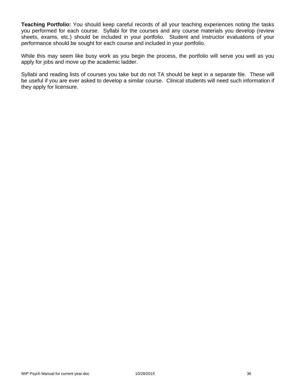**Teaching Portfolio:** You should keep careful records of all your teaching experiences noting the tasks you performed for each course. Syllabi for the courses and any course materials you develop (review sheets, exams, etc.) should be included in your portfolio. Student and instructor evaluations of your performance should be sought for each course and included in your portfolio.

While this may seem like busy work as you begin the process, the portfolio will serve you well as you apply for jobs and move up the academic ladder.

Syllabi and reading lists of courses you take but do not TA should be kept in a separate file. These will be useful if you are ever asked to develop a similar course. Clinical students will need such information if they apply for licensure.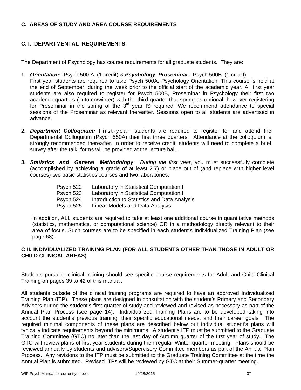#### **C. AREAS OF STUDY AND AREA COURSE REQUIREMENTS**

# **C. I. DEPARTMENTAL REQUIREMENTS**

The Department of Psychology has course requirements for all graduate students. They are:

- **1.** *Orientation:* Psych 500 A (1 credit) & *Psychology Proseminar:* Psych 500B (1 credit) First year students are required to take Psych 500A, Psychology Orientation. This course is held at the end of September, during the week prior to the official start of the academic year. All first year students are also required to register for Psych 500B, Proseminar in Psychology their first two academic quarters (autumn/winter) with the third quarter that spring as optional, however registering for Proseminar in the spring of the  $3<sup>rd</sup>$  year IS required. We recommend attendance to special sessions of the Proseminar as relevant thereafter. Sessions open to all students are advertised in advance.
- **2.** *Department Colloquium:* First-year students are required to register for and attend the Departmental Colloquium (Psych 550A) their first three quarters. Attendance at the colloquium is strongly recommended thereafter. In order to receive credit, students will need to complete a brief survey after the talk; forms will be provided at the lecture hall.
- **3.** *Statistics and General Methodology: During the first year*, you must successfully complete (accomplished by achieving a grade of at least 2.7) or place out of (and replace with higher level courses) two basic statistics courses and two laboratories:

| Psych 522 | Laboratory in Statistical Computation I      |
|-----------|----------------------------------------------|
| Psych 523 | Laboratory in Statistical Computation II     |
| Psych 524 | Introduction to Statistics and Data Analysis |
| Psych 525 | Linear Models and Data Analysis              |

In addition, ALL students are required to take at least one additional course in quantitative methods (statistics, mathematics, or computational science) OR in a methodology directly relevant to their area of focus. Such courses are to be specified in each student's Individualized Training Plan (see page 68).

# **C II. INDIVIDUALIZED TRAINING PLAN (FOR ALL STUDENTS OTHER THAN THOSE IN ADULT OR CHILD CLINICAL AREAS)**

Students pursuing clinical training should see specific course requirements for Adult and Child Clinical Training on pages 39 to 42 of this manual.

All students outside of the clinical training programs are required to have an approved Individualized Training Plan (ITP). These plans are designed in consultation with the student's Primary and Secondary Advisors during the student's first quarter of study and reviewed and revised as necessary as part of the Annual Plan Process (see page 14). Individualized Training Plans are to be developed taking into account the student's previous training, their specific educational needs, and their career goals. The required minimal components of these plans are described below but individual student's plans will typically indicate requirements beyond the minimums. A student's ITP must be submitted to the Graduate Training Committee (GTC) no later than the last day of Autumn quarter of the first year of study. The GTC will review plans of first-year students during their regular Winter-quarter meeting. Plans should be reviewed annually by students and advisors/Supervisory Committee members as part of the Annual Plan Process. Any revisions to the ITP must be submitted to the Graduate Training Committee at the time the Annual Plan is submitted. Revised ITPs will be reviewed by GTC at their Summer-quarter meeting.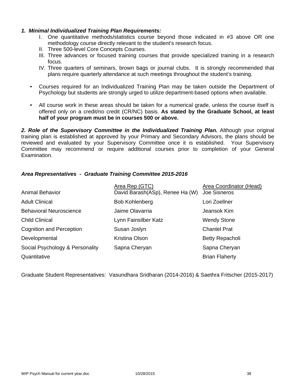#### *1. Minimal Individualized Training Plan Requirements:*

- I. One quantitative methods/statistics course beyond those indicated in #3 above OR one methodology course directly relevant to the student's research focus.
- II. Three 500-level Core Concepts Courses.
- III. Three advances or focused training courses that provide specialized training in a research focus.
- IV. Three quarters of seminars, brown bags or journal clubs. It is strongly recommended that plans require quarterly attendance at such meetings throughout the student's training.
- Courses required for an Individualized Training Plan may be taken outside the Department of Psychology but students are strongly urged to utilize department-based options when available.
- All course work in these areas should be taken for a numerical grade, unless the course itself is offered only on a credit/no credit (CR/NC) basis. **As stated by the Graduate School, at least half of your program must be in courses 500 or above.**

*2. Role of the Supervisory Committee in the Individualized Training Plan.* Although your original training plan is established at approved by your Primary and Secondary Advisors, the plans should be reviewed and evaluated by your Supervisory Committee once it is established. Your Supervisory Committee may recommend or require additional courses prior to completion of your General Examination.

# *Area Representatives - Graduate Training Committee 2015-2016*

|                                 | Area Rep (GTC)                  | Area Coordinator (Head) |
|---------------------------------|---------------------------------|-------------------------|
| <b>Animal Behavior</b>          | David Barash(ASp), Renee Ha (W) | Joe Sisneros            |
| <b>Adult Clinical</b>           | <b>Bob Kohlenberg</b>           | Lori Zoellner           |
| <b>Behavioral Neuroscience</b>  | Jaime Olavarria                 | Jeansok Kim             |
| <b>Child Clinical</b>           | Lynn Fainsilber Katz            | <b>Wendy Stone</b>      |
| <b>Cognition and Perception</b> | Susan Joslyn                    | <b>Chantel Prat</b>     |
| Developmental                   | Kristina Olson                  | Betty Repacholi         |
| Social Psychology & Personality | Sapna Cheryan                   | Sapna Cheryan           |
| Quantitative                    |                                 | <b>Brian Flaherty</b>   |

Graduate Student Representatives: Vasundhara Sridharan (2014-2016) & Saethra Fritscher (2015-2017)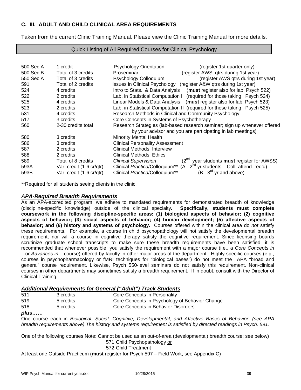## **C. III. ADULT AND CHILD CLINICAL AREA REQUIREMENTS**

Taken from the current Clinic Training Manual. Please view the Clinic Training Manual for more details.

#### Quick Listing of All Required Courses for Clinical Psychology

| 500 Sec A<br>500 Sec B | 1 credit<br>Total of 3 credits | <b>Psychology Orientation</b><br>(register 1st quarter only)<br>(register AWS qtrs during 1st year)<br>Proseminar |
|------------------------|--------------------------------|-------------------------------------------------------------------------------------------------------------------|
| 550 Sec A              | Total of 3 credits             | Psychology Colloquium<br>(register AWS qtrs during 1st year)                                                      |
| 591                    | Total of 2 credits             | Issues in Clinical Psychology (register A&W qtrs during 1st year)                                                 |
| 524                    | 4 credits                      | Intro to Stats. & Data Analysis (must register also for lab: Psych 522)                                           |
| 522                    | 2 credits                      | Lab. in Statistical Computation I (required for those taking Psych 524)                                           |
| 525                    | 4 credits                      | Linear Models & Data Analysis (must register also for lab: Psych 523)                                             |
| 523                    | 2 credits                      | Lab. in Statistical Computation II (required for those taking Psych 525)                                          |
| 531                    | 4 credits                      | Research Methods in Clinical and Community Psychology                                                             |
| 517                    | 3 credits                      | Core Concepts in Systems of Psychotherapy                                                                         |
| 560                    | 2-30 credits total             | Research Strategies (lab-based research seminar; sign up whenever offered                                         |
|                        |                                | by your advisor and you are participating in lab meetings)                                                        |
| 580                    | 3 credits                      | <b>Minority Mental Health</b>                                                                                     |
|                        |                                |                                                                                                                   |
| 586                    | 3 credits                      | <b>Clinical Personality Assessment</b>                                                                            |
| 587                    | 2 credits                      | Clinical Methods: Interview                                                                                       |
| 588                    | 2 credits                      | <b>Clinical Methods: Ethics</b>                                                                                   |
| 589                    | Total of 8 credits             | $(2^{nd}$ year students <b>must</b> register for AWSS)<br><b>Clinical Supervision</b>                             |
| 593A                   | Var. credit (1-6 cr/qtr)       | Clinical Practica/Colloquium <sup>**</sup> (A - $2^{nd}$ yr students – Coll. attend. req'd)                       |
| 593B                   | Var. credit (1-6 cr/qtr)       | $(B - 3rd$ yr and above)<br>Clinical Practica/Colloquium**                                                        |

\*\*Required for all students seeing clients in the clinic.

#### *APA-Required Breadth Requirements*

As an APA-accredited program, we adhere to mandated requirements for demonstrated breadth of knowledge (discipline-specific knowledge) outside of the clinical specialty**. Specifically, students must complete coursework in the following discipline-specific areas: (1) biological aspects of behavior; (2) cognitive aspects of behavior; (3) social aspects of behavior; (4) human development; (5) affective aspects of behavior; and (6) history and systems of psychology.** Courses offered within the clinical area do *not* satisfy these requirements. For example, a course in child psychopathology will not satisfy the developmental breadth requirement, nor will a course in cognitive therapy satisfy the cognitive requirement. Since licensing boards scrutinize graduate school transcripts to make sure these breadth requirements have been satisfied, it is recommended that whenever possible, you satisfy the requirement with a major course (i.e., a *Core Concepts in* ...or *Advances in* ...course) offered by faculty in other major areas of the department. Highly specific courses (e.g., courses in psychopharmacology or fMRI techniques for "biological bases") do not meet the APA "broad and general" course requirement. Likewise, Psych 550-level seminars do not satisfy this requirement. Non-clinical courses in other departments may sometimes satisfy a breadth requirement. If in doubt, consult with the Director of Clinical Training.

#### *Additional Requirements for General ("Adult") Track Students*

| 511 | 3 credits | Core Concepts in Personality                   |
|-----|-----------|------------------------------------------------|
| 519 | 5 credits | Core Concepts in Psychology of Behavior Change |
| 518 | 5 credits | Core Concepts in Behavior Disorders            |

#### *plus……*

One course each in *Biological*, *Social, Cognitive, Developmental, and Affective Bases of Behavior*, *(see APA breadth requirements above) The history and systems requirement is satisfied by directed readings in Psych. 591.*

One of the following courses Note: Cannot be used as an out-of-area (developmental) breadth course; see below) 571 Child Psychopathology or

572 Child Treatment

At least one Outside Practicum (**must** register for Psych 597 – Field Work; see Appendix C)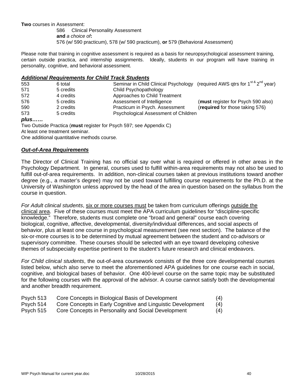**Two** courses in Assessment:

 586 Clinical Personality Assessment **and** *a choice of***:**  576 (w/ 590 practicum), 578 (w/ 590 practicum), **or** 579 (Behavioral Assessment)

Please note that training in cognitive assessment is required as a basis for neuropsychological assessment training, certain outside practica, and internship assignments. Ideally, students in our program will have training in personality, cognitive, and behavioral assessment.

#### *Additional Requirements for Child Track Students*

| 553  | 6 total                         |                                                                    | Seminar in Child Clinical Psychology (required AWS qtrs for 1 <sup>st &amp;</sup> 2 <sup>nd</sup> year) |
|------|---------------------------------|--------------------------------------------------------------------|---------------------------------------------------------------------------------------------------------|
| 571  | 5 credits                       | Child Psychopathology                                              |                                                                                                         |
| 572  | 4 credits                       | Approaches to Child Treatment                                      |                                                                                                         |
| 576  | 5 credits                       | Assessment of Intelligence                                         | (must register for Psych 590 also)                                                                      |
| 590  | 2 credits                       | Practicum in Psych. Assessment                                     | (required for those taking 576)                                                                         |
| 573  | 5 credits                       | Psychological Assessment of Children                               |                                                                                                         |
| plus |                                 |                                                                    |                                                                                                         |
|      |                                 | Two Outside Practica (must register for Psych 597; see Appendix C) |                                                                                                         |
|      | At least one treatment seminar. |                                                                    |                                                                                                         |

One additional quantitative methods course.

#### *Out-of-Area Requirements*

The Director of Clinical Training has no official say over what is required or offered in other areas in the Psychology Department. In general, courses used to fulfill within-area requirements may not also be used to fulfill out-of-area requirements. In addition, non-clinical courses taken at previous institutions toward another degree (e.g., a master's degree) may not be used toward fulfilling course requirements for the Ph.D. at the University of Washington unless approved by the head of the area in question based on the syllabus from the course in question.

*For Adult clinical students*, six or more courses must be taken from curriculum offerings outside the clinical area. Five of these courses must meet the APA curriculum guidelines for "discipline-specific knowledge." Therefore, students must complete one "broad and general" course each covering biological, cognitive, affective, developmental, diversity/individual differences, and social aspects of behavior, plus at least one course in psychological measurement (see next section). The balance of the six-or-more courses is to be determined by mutual agreement between the student and co-advisors or supervisory committee. These courses should be selected with an eye toward developing cohesive themes of subspecialty expertise pertinent to the student's future research and clinical endeavors.

*For Child clinical students*, the out-of-area coursework consists of the three core developmental courses listed below, which also serve to meet the aforementioned APA guidelines for one course each in social, cognitive, and biological bases of behavior. One 400-level course on the same topic may be substituted for the following courses with the approval of the advisor. A course cannot satisfy both the developmental and another breadth requirement.

- Psych 513 Core Concepts in Biological Basis of Development (4)
- Psych 514 Core Concepts in Early Cognitive and Linguistic Development (4)
- Psych 515 Core Concepts in Personality and Social Development (4)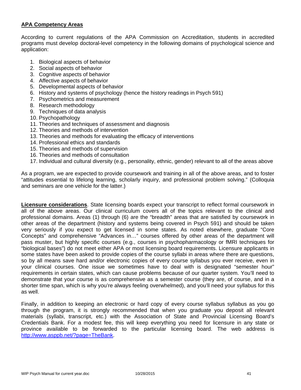## **APA Competency Areas**

According to current regulations of the APA Commission on Accreditation, students in accredited programs must develop doctoral-level competency in the following domains of psychological science and application:

- 1. Biological aspects of behavior
- 2. Social aspects of behavior
- 3. Cognitive aspects of behavior
- 4. Affective aspects of behavior
- 5. Developmental aspects of behavior
- 6. History and systems of psychology (hence the history readings in Psych 591)
- 7. Psychometrics and measurement
- 8. Research methodology
- 9. Techniques of data analysis
- 10. Psychopathology
- 11. Theories and techniques of assessment and diagnosis
- 12. Theories and methods of intervention
- 13. Theories and methods for evaluating the efficacy of interventions
- 14. Professional ethics and standards
- 15. Theories and methods of supervision
- 16. Theories and methods of consultation
- 17. Individual and cultural diversity (e.g., personality, ethnic, gender) relevant to all of the areas above

As a program, we are expected to provide coursework and training in all of the above areas, and to foster "attitudes essential to lifelong learning, scholarly inquiry, and professional problem solving." (Colloquia and seminars are one vehicle for the latter.)

**Licensure considerations**. State licensing boards expect your transcript to reflect formal coursework in all of the above areas. Our clinical curriculum covers all of the topics relevant to the clinical and professional domains. Areas (1) through (6) are the "breadth" areas that are satisfied by coursework in other areas of the department (history and systems being covered in Psych 591) and should be taken very seriously if you expect to get licensed in some states. As noted elsewhere, graduate "Core Concepts" and comprehensive "Advances in…" courses offered by other areas of the department will pass muster, but highly specific courses (e.g., courses in psychopharmacology or fMRI techniques for "biological bases") do not meet either APA or most licensing board requirements. Licensure applicants in some states have been asked to provide copies of the course syllabi in areas where there are questions, so by all means save hard and/or electronic copies of every course syllabus you ever receive, even in your clinical courses. One issue we sometimes have to deal with is designated "semester hour" requirements in certain states, which can cause problems because of our quarter system. You'll need to demonstrate that your course is as comprehensive as a semester course (they are, of course, and in a shorter time span, which is why you're always feeling overwhelmed), and you'll need your syllabus for this as well.

Finally, in addition to keeping an electronic or hard copy of every course syllabus syllabus as you go through the program, it is strongly recommended that when you graduate you deposit all relevant materials (syllabi, transcript, etc.) with the Association of State and Provincial Licensing Board's Credentials Bank. For a modest fee, this will keep everything you need for licensure in any state or province available to be forwarded to the particular licensing board. The web address is http://www.asppb.net/?page=TheBank.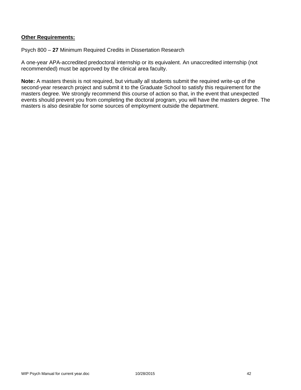#### **Other Requirements:**

Psych 800 – **27** Minimum Required Credits in Dissertation Research

A one-year APA-accredited predoctoral internship or its equivalent. An unaccredited internship (not recommended) must be approved by the clinical area faculty.

**Note:** A masters thesis is not required, but virtually all students submit the required write-up of the second-year research project and submit it to the Graduate School to satisfy this requirement for the masters degree. We strongly recommend this course of action so that, in the event that unexpected events should prevent you from completing the doctoral program, you will have the masters degree. The masters is also desirable for some sources of employment outside the department.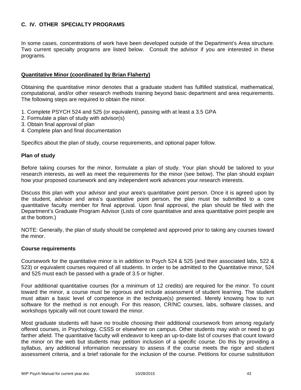# **C. IV. OTHER SPECIALTY PROGRAMS**

In some cases, concentrations of work have been developed outside of the Department's Area structure. Two current specialty programs are listed below. Consult the advisor if you are interested in these programs.

#### **Quantitative Minor (coordinated by Brian Flaherty)**

Obtaining the quantitative minor denotes that a graduate student has fulfilled statistical, mathematical, computational, and/or other research methods training beyond basic department and area requirements. The following steps are required to obtain the minor.

- 1. Complete PSYCH 524 and 525 (or equivalent), passing with at least a 3.5 GPA
- 2. Formulate a plan of study with advisor(s)
- 3. Obtain final approval of plan
- 4. Complete plan and final documentation

Specifics about the plan of study, course requirements, and optional paper follow.

#### **Plan of study**

Before taking courses for the minor, formulate a plan of study. Your plan should be tailored to your research interests, as well as meet the requirements for the minor (see below). The plan should explain how your proposed coursework and any independent work advances your research interests.

Discuss this plan with your advisor and your area's quantitative point person. Once it is agreed upon by the student, advisor and area's quantitative point person, the plan must be submitted to a core quantitative faculty member for final approval. Upon final approval, the plan should be filed with the Department's Graduate Program Advisor (Lists of core quantitative and area quantitative point people are at the bottom.)

NOTE: Generally, the plan of study should be completed and approved prior to taking any courses toward the minor.

#### **Course requirements**

Coursework for the quantitative minor is in addition to Psych 524 & 525 (and their associated labs, 522 & 523) or equivalent courses required of all students. In order to be admitted to the Quantitative minor, 524 and 525 must each be passed with a grade of 3.5 or higher.

Four additional quantitative courses (for a minimum of 12 credits) are required for the minor. To count toward the minor, a course must be rigorous and include assessment of student learning. The student must attain a basic level of competence in the technique(s) presented. Merely knowing how to run software for the method is not enough. For this reason, CR/NC courses, labs, software classes, and workshops typically will not count toward the minor.

Most graduate students will have no trouble choosing their additional coursework from among regularly offered courses, in Psychology, CSSS or elsewhere on campus. Other students may wish or need to go farther afield. The quantitative faculty will endeavor to keep an up-to-date list of courses that count toward the minor on the web but students may petition inclusion of a specific course. Do this by providing a syllabus, any additional information necessary to assess if the course meets the rigor and student assessment criteria, and a brief rationale for the inclusion of the course. Petitions for course substitution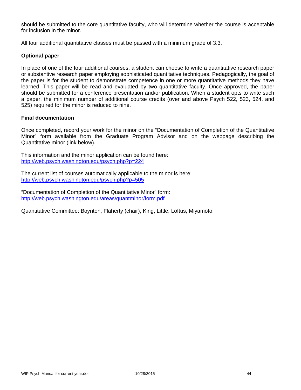should be submitted to the core quantitative faculty, who will determine whether the course is acceptable for inclusion in the minor.

All four additional quantitative classes must be passed with a minimum grade of 3.3.

# **Optional paper**

In place of one of the four additional courses, a student can choose to write a quantitative research paper or substantive research paper employing sophisticated quantitative techniques. Pedagogically, the goal of the paper is for the student to demonstrate competence in one or more quantitative methods they have learned. This paper will be read and evaluated by two quantitative faculty. Once approved, the paper should be submitted for a conference presentation and/or publication. When a student opts to write such a paper, the minimum number of additional course credits (over and above Psych 522, 523, 524, and 525) required for the minor is reduced to nine.

#### **Final documentation**

Once completed, record your work for the minor on the "Documentation of Completion of the Quantitative Minor" form available from the Graduate Program Advisor and on the webpage describing the Quantitative minor (link below).

This information and the minor application can be found here: http://web.psych.washington.edu/psych.php?p=224

The current list of courses automatically applicable to the minor is here: http://web.psych.washington.edu/psych.php?p=505

"Documentation of Completion of the Quantitative Minor" form: http://web.psych.washington.edu/areas/quantminor/form.pdf

Quantitative Committee: Boynton, Flaherty (chair), King, Little, Loftus, Miyamoto.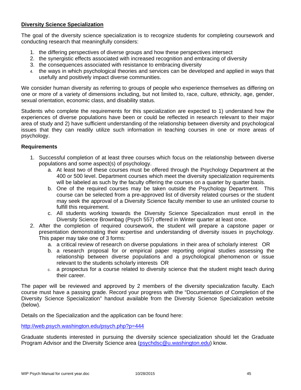#### **Diversity Science Specialization**

The goal of the diversity science specialization is to recognize students for completing coursework and conducting research that meaningfully considers:

- 1. the differing perspectives of diverse groups and how these perspectives intersect
- 2. the synergistic effects associated with increased recognition and embracing of diversity
- 3. the consequences associated with resistance to embracing diversity
- 4. the ways in which psychological theories and services can be developed and applied in ways that usefully and positively impact diverse communities.

We consider human diversity as referring to groups of people who experience themselves as differing on one or more of a variety of dimensions including, but not limited to, race, culture, ethnicity, age, gender, sexual orientation, economic class, and disability status.

Students who complete the requirements for this specialization are expected to 1) understand how the experiences of diverse populations have been or could be reflected in research relevant to their major area of study and 2) have sufficient understanding of the relationship between diversity and psychological issues that they can readily utilize such information in teaching courses in one or more areas of psychology.

#### **Requirements**

- 1. Successful completion of at least three courses which focus on the relationship between diverse populations and some aspect(s) of psychology.
	- a. At least two of these courses must be offered through the Psychology Department at the 400 or 500 level. Department courses which meet the diversity specialization requirements will be labeled as such by the faculty offering the courses on a quarter by quarter basis.
	- b. One of the required courses may be taken outside the Psychology Department. This course can be selected from a pre-approved list of diversity related courses or the student may seek the approval of a Diversity Science faculty member to use an unlisted course to fulfill this requirement.
	- c. All students working towards the Diversity Science Specialization must enroll in the Diversity Science Brownbag (Psych 557) offered in Winter quarter at least once.
- 2. After the completion of required coursework, the student will prepare a capstone paper or presentation demonstrating their expertise and understanding of diversity issues in psychology. This paper may take one of 3 forms:
	- a. a critical review of research on diverse populations in their area of scholarly interest OR
	- b. a research proposal for or empirical paper reporting original studies assessing the relationship between diverse populations and a psychological phenomenon or issue relevant to the students scholarly interests OR
	- c. a prospectus for a course related to diversity science that the student might teach during their career.

The paper will be reviewed and approved by 2 members of the diversity specialization faculty. Each course must have a passing grade. Record your progress with the "Documentation of Completion of the Diversity Science Specialization" handout available from the Diversity Science Specialization website (below).

Details on the Specialization and the application can be found here:

http://web.psych.washington.edu/psych.php?p=444

Graduate students interested in pursuing the diversity science specialization should let the Graduate Program Advisor and the Diversity Science area (psychdsc@u.washington.edu) know.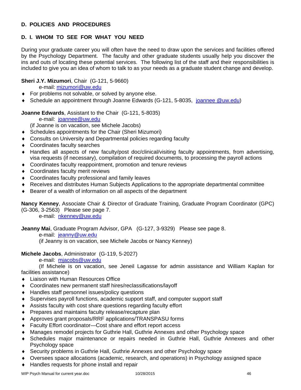# **D. POLICIES AND PROCEDURES**

# **D. I. WHOM TO SEE FOR WHAT YOU NEED**

During your graduate career you will often have the need to draw upon the services and facilities offered by the Psychology Department. The faculty and other graduate students usually help you discover the ins and outs of locating these potential services. The following list of the staff and their responsibilities is included to give you an idea of whom to talk to as your needs as a graduate student change and develop.

# **Sheri J.Y. Mizumori**, Chair (G-121, 5-9660)

e-mail: mizumori@uw.edu

- For problems not solvable, or solved by anyone else.
- ◆ Schedule an appointment through Joanne Edwards (G-121, 5-8035, joannee @uw.edu)

#### **Joanne Edwards**, Assistant to the Chair (G-121, 5-8035)

e-mail: joannee@uw.edu

(if Joanne is on vacation, see Michele Jacobs)

- Schedules appointments for the Chair (Sheri Mizumori)
- Consults on University and Departmental policies regarding faculty
- Coordinates faculty searches
- Handles all aspects of new faculty/post doc/clinical/visiting faculty appointments, from advertising, visa requests (if necessary), compilation of required documents, to processing the payroll actions
- Coordinates faculty reappointment, promotion and tenure reviews
- Coordinates faculty merit reviews
- Coordinates faculty professional and family leaves
- Receives and distributes Human Subjects Applications to the appropriate departmental committee
- Bearer of a wealth of information on all aspects of the department

**Nancy Kenney**, Associate Chair & Director of Graduate Training, Graduate Program Coordinator (GPC) (G-306, 3-2563) Please see page 7.

e-mail: nkenney@uw.edu

**Jeanny Mai**, Graduate Program Advisor, GPA (G-127, 3-9329) Please see page 8.

e-mail: jeanny@uw.edu

(if Jeanny is on vacation, see Michele Jacobs or Nancy Kenney)

# **Michele Jacobs**, Administrator (G-119, 5-2027)

e-mail: mjacobs@uw.edu

 (If Michele is on vacation, see Jeneil Lagasse for admin assistance and William Kaplan for facilities assistance)

- ◆ Liaison with Human Resources Office
- Coordinates new permanent staff hires/reclassifications/layoff
- Handles staff personnel issues/policy questions
- Supervises payroll functions, academic support staff, and computer support staff
- Assists faculty with cost share questions regarding faculty effort
- ◆ Prepares and maintains faculty release/recapture plan
- Approves grant proposals/RRF applications/TRANSPASU forms
- Faculty Effort coordinator—Cost share and effort report access
- Manages remodel projects for Guthrie Hall, Guthrie Annexes and other Psychology space
- Schedules major maintenance or repairs needed in Guthrie Hall, Guthrie Annexes and other Psychology space
- Security problems in Guthrie Hall, Guthrie Annexes and other Psychology space
- Oversees space allocations (academic, research, and operations) in Psychology assigned space
- ◆ Handles requests for phone install and repair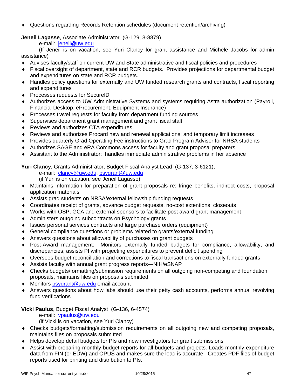Questions regarding Records Retention schedules (document retention/archiving)

# **Jeneil Lagasse**, Associate Administrator (G-129, 3-8879)

e-mail: jeneil@uw.edu

 (If Jeneil is on vacation, see Yuri Clancy for grant assistance and Michele Jacobs for admin assistance)

- Advises faculty/staff on current UW and State administrative and fiscal policies and procedures
- Fiscal oversight of department, state and RCR budgets. Provides projections for departmental budget and expenditures on state and RCR budgets.
- Handles policy questions for externally and UW funded research grants and contracts, fiscal reporting and expenditures
- ◆ Processes requests for SecureID
- Authorizes access to UW Administrative Systems and systems requiring Astra authorization (Payroll, Financial Desktop, eProcurement, Equipment Insurance)
- Processes travel requests for faculty from department funding sources
- Supervises department grant management and grant fiscal staff
- Reviews and authorizes CTA expenditures
- Reviews and authorizes Procard new and renewal applications; and temporary limit increases
- Provides quarterly Grad Operating Fee instructions to Grad Program Advisor for NRSA students
- Authorizes SAGE and eRA Commons access for faculty and grant proposal preparers
- Assistant to the Administrator: handles immediate administrative problems in her absence

**Yuri Clancy**, Grants Administrator, Budget Fiscal Analyst Lead (G-137, 3-6121),

e-mail: clancy@uw.edu, psygrant@uw.edu

- (if Yuri is on vacation, see Jeneil Lagasse)
- Maintains information for preparation of grant proposals re: fringe benefits, indirect costs, proposal application materials
- Assists grad students on NRSA/external fellowship funding requests
- Coordinates receipt of grants, advance budget requests, no-cost extentions, closeouts
- Works with OSP, GCA and external sponsors to facilitate post award grant management
- Administers outgoing subcontracts on Psychology grants
- Issues personal services contracts and large purchase orders (equipment)
- General compliance questions or problems related to grants/external funding
- Answers questions about allowability of purchases on grant budgets
- Post-Award management: Monitors externally funded budgets for compliance, allowability, and discrepancies; assists PI with projecting expenditures to prevent deficit spending
- Oversees budget reconciliation and corrections to fiscal transactions on externally funded grants
- Assists faculty with annual grant progress reports—NIH/eSNAP
- Checks budgets/formatting/submission requirements on all outgoing non-competing and foundation proposals, maintains files on proposals submitted
- ◆ Monitors psygrant@uw.edu email account
- Answers questions about how labs should use their petty cash accounts, performs annual revolving fund verifications

# **Vicki Paulus**, Budget Fiscal Analyst (G-136, 6-4574)

e-mail: vpaulus@uw.edu

(if Vicki is on vacation, see Yuri Clancy)

- Checks budgets/formatting/submission requirements on all outgoing new and competing proposals, maintains files on proposals submitted
- Helps develop detail budgets for PIs and new investigators for grant submissions
- Assist with preparing monthly budget reports for all budgets and projects. Loads monthly expenditure data from FIN (or EDW) and OPUS and makes sure the load is accurate. Creates PDF files of budget reports used for printing and distribution to PIs.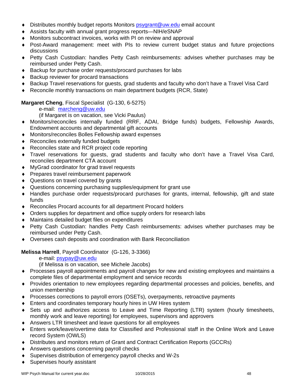- Distributes monthly budget reports Monitors psygrant@uw.edu email account
- Assists faculty with annual grant progress reports—NIH/eSNAP
- Monitors subcontract invoices, works with PI on review and approval
- Post-Award management: meet with PIs to review current budget status and future projections discussions
- Petty Cash Custodian: handles Petty Cash reimbursements: advises whether purchases may be reimbursed under Petty Cash.
- ◆ Backup for purchase order requests/procard purchases for labs
- ◆ Backup reviewer for procard transactions
- Backup Travel reservations for guests, grad students and faculty who don't have a Travel Visa Card
- Reconcile monthly transactions on main department budgets (RCR, State)

# **Margaret Cheng**, Fiscal Specialist (G-130, 6-5275)

e-mail: marcheng@uw.edu

(if Margaret is on vacation, see Vicki Paulus)

- Monitors/reconciles internally funded (RRF, ADAI, Bridge funds) budgets, Fellowship Awards, Endowment accounts and departmental gift accounts
- Monitors/reconciles Bolles Fellowship award expenses
- ◆ Reconciles externally funded budgets
- ◆ Reconciles state and RCR project code reporting
- Travel reservations for guests, grad students and faculty who don't have a Travel Visa Card, reconciles department CTA account
- MyGrad coordinator for grad travel requests
- ◆ Prepares travel reimbursement paperwork
- ◆ Questions on travel covered by grants
- Questions concerning purchasing supplies/equipment for grant use
- Handles purchase order requests/procard purchases for grants, internal, fellowship, gift and state funds
- Reconciles Procard accounts for all department Procard holders
- Orders supplies for department and office supply orders for research labs
- Maintains detailed budget files on expenditures
- Petty Cash Custodian: handles Petty Cash reimbursements: advises whether purchases may be reimbursed under Petty Cash.
- Oversees cash deposits and coordination with Bank Reconciliation

**Melissa Harrell**, Payroll Coordinator (G-126, 3-3366)

e-mail: psypay@uw.edu

(if Melissa is on vacation, see Michele Jacobs)

- Processes payroll appointments and payroll changes for new and existing employees and maintains a complete files of departmental employment and service records
- Provides orientation to new employees regarding departmental processes and policies, benefits, and union membership
- Processes corrections to payroll errors (OSETs), overpayments, retroactive payments
- Enters and coordinates temporary hourly hires in UW Hires system
- Sets up and authorizes access to Leave and Time Reporting (LTR) system (hourly timesheets, monthly work and leave reporting) for employees, supervisors and approvers
- Answers LTR timesheet and leave questions for all employees
- Enters work/leave/overtime data for Classified and Professional staff in the Online Work and Leave record System (OWLS)
- Distributes and monitors return of Grant and Contract Certification Reports (GCCRs)
- Answers questions concerning payroll checks
- Supervises distribution of emergency payroll checks and W-2s
- ◆ Supervises hourly assistant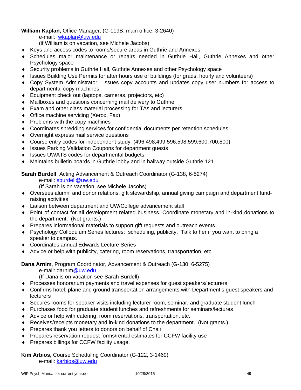**William Kaplan,** Office Manager, (G-119B, main office, 3-2640)

e-mail: wkaplan@uw.edu

(if William is on vacation, see Michele Jacobs)

- Keys and access codes to rooms/secure areas in Guthrie and Annexes
- Schedules major maintenance or repairs needed in Guthrie Hall, Guthrie Annexes and other Psychology space
- Security problems in Guthrie Hall, Guthrie Annexes and other Psychology space
- Issues Building Use Permits for after hours use of buildings (for grads, hourly and volunteers)
- Copy System Administrator: issues copy accounts and updates copy user numbers for access to departmental copy machines
- ◆ Equipment check out (laptops, cameras, projectors, etc)
- Mailboxes and questions concerning mail delivery to Guthrie
- Exam and other class material processing for TAs and lecturers
- ◆ Office machine servicing (Xerox, Fax)
- $\leftrightarrow$  Problems with the copy machines
- Coordinates shredding services for confidential documents per retention schedules
- Overnight express mail service questions
- Course entry codes for independent study (496,498,499,596,598,599,600,700,800)
- ◆ Issues Parking Validation Coupons for department guests
- ◆ Issues UWATS codes for departmental budgets
- Maintains bulletin boards in Guthrie lobby and in hallway outside Guthrie 121

**Sarah Burdell**, Acting Advancement & Outreach Coordinator (G-138, 6-5274)

e-mail: sburdell@uw.edu

(If Sarah is on vacation, see Michele Jacobs)

- Oversees alumni and donor relations, gift stewardship, annual giving campaign and department fundraising activities
- Liaison between department and UW/College advancement staff
- Point of contact for all development related business. Coordinate monetary and in-kind donations to the department. (Not grants.)
- Prepares informational materials to support gift requests and outreach events
- Psychology Colloquium Series lectures: scheduling, publicity. Talk to her if you want to bring a speaker to campus.
- Coordinates annual Edwards Lecture Series
- Advice or help with publicity, catering, room reservations, transportation, etc.

**Dana Arnim**, Program Coordinator, Advancement & Outreach (G-130, 6-5275)

e-mail: darnim@uw.edu

(If Dana is on vacation see Sarah Burdell)

- Processes honorarium payments and travel expenses for guest speakers/lecturers
- Confirms hotel, plane and ground transportation arrangements with Department's guest speakers and lecturers
- Secures rooms for speaker visits including lecturer room, seminar, and graduate student lunch
- Purchases food for graduate student lunches and refreshments for seminars/lectures
- Advice or help with catering, room reservations, transportation, etc.
- Receives/receipts monetary and in-kind donations to the department. (Not grants.)
- ◆ Prepares thank you letters to donors on behalf of Chair
- Prepares reservation request forms/rental estimates for CCFW facility use
- ◆ Prepares billings for CCFW facility usage.

# **Kim Arbios,** Course Scheduling Coordinator (G-122, 3-1469)

e-mail: karbios@uw.edu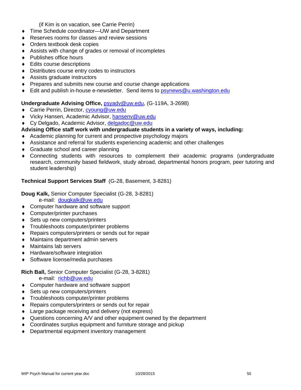(if Kim is on vacation, see Carrie Perrin)

- ◆ Time Schedule coordinator—UW and Department
- Reserves rooms for classes and review sessions
- Orders textbook desk copies
- Assists with change of grades or removal of incompletes
- ◆ Publishes office hours
- ◆ Edits course descriptions
- Distributes course entry codes to instructors
- Assists graduate instructors
- **Prepares and submits new course and course change applications**
- ♦ Edit and publish in-house e-newsletter. Send items to psynews@u.washington.edu

# **Undergraduate Advising Office,** psyadv@uw.edu, (G-119A, 3-2698)

- ◆ Carrie Perrin, Director, cyoung@uw.edu
- ◆ Vicky Hansen, Academic Advisor, hansenv@uw.edu
- ◆ Cy Delgado, Academic Advisor, delgadoc@uw.edu

# **Advising Office staff work with undergraduate students in a variety of ways, including:**

- Academic planning for current and prospective psychology majors
- Assistance and referral for students experiencing academic and other challenges
- ◆ Graduate school and career planning
- Connecting students with resources to complement their academic programs (undergraduate research, community based fieldwork, study abroad, departmental honors program, peer tutoring and student leadership)

# **Technical Support Services Staff** (G-28, Basement, 3-8281)

**Doug Kalk,** Senior Computer Specialist (G-28, 3-8281)

e-mail: dougkalk@uw.edu

- ◆ Computer hardware and software support
- ◆ Computer/printer purchases
- ◆ Sets up new computers/printers
- Troubleshoots computer/printer problems
- Repairs computers/printers or sends out for repair
- Maintains department admin servers
- Maintains lab servers
- ◆ Hardware/software integration
- ◆ Software license/media purchases

# **Rich Ball,** Senior Computer Specialist (G-28, 3-8281)

e-mail: richb@uw.edu

- ◆ Computer hardware and software support
- ◆ Sets up new computers/printers
- Troubleshoots computer/printer problems
- ◆ Repairs computers/printers or sends out for repair
- Large package receiving and delivery (not express)
- Questions concerning A/V and other equipment owned by the department
- Coordinates surplus equipment and furniture storage and pickup
- Departmental equipment inventory management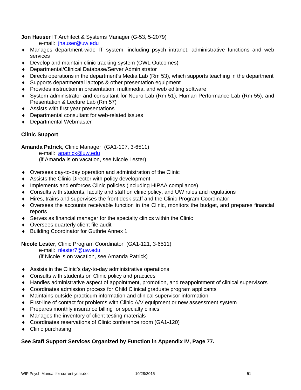**Jon Hauser** IT Architect & Systems Manager (G-53, 5-2079)

e-mail: jhauser@uw.edu

- Manages department-wide IT system, including psych intranet, administrative functions and web services
- Develop and maintain clinic tracking system (OWL Outcomes)
- Departmental/Clinical Database/Server Administrator
- Directs operations in the department's Media Lab (Rm 53), which supports teaching in the department
- Supports departmental laptops & other presentation equipment
- Provides instruction in presentation, multimedia, and web editing software
- System administrator and consultant for Neuro Lab (Rm 51), Human Performance Lab (Rm 55), and Presentation & Lecture Lab (Rm 57)
- Assists with first year presentations
- Departmental consultant for web-related issues
- Departmental Webmaster

# **Clinic Support**

**Amanda Patrick,** Clinic Manager (GA1-107, 3-6511)

 e-mail: apatrick@uw.edu (if Amanda is on vacation, see Nicole Lester)

- Oversees day-to-day operation and administration of the Clinic
- Assists the Clinic Director with policy development
- Implements and enforces Clinic policies (including HIPAA compliance)
- Consults with students, faculty and staff on clinic policy, and UW rules and regulations
- Hires, trains and supervises the front desk staff and the Clinic Program Coordinator
- Oversees the accounts receivable function in the Clinic, monitors the budget, and prepares financial reports
- Serves as financial manager for the specialty clinics within the Clinic
- Oversees quarterly client file audit
- Building Coordinator for Guthrie Annex 1

**Nicole Lester,** Clinic Program Coordinator (GA1-121, 3-6511)

 e-mail: nlester7@uw.edu (if Nicole is on vacation, see Amanda Patrick)

- Assists in the Clinic's day-to-day administrative operations
- Consults with students on Clinic policy and practices
- Handles administrative aspect of appointment, promotion, and reappointment of clinical supervisors
- Coordinates admission process for Child Clinical graduate program applicants
- Maintains outside practicum information and clinical supervisor information
- First-line of contact for problems with Clinic A/V equipment or new assessment system
- Prepares monthly insurance billing for specialty clinics
- Manages the inventory of client testing materials
- Coordinates reservations of Clinic conference room (GA1-120)
- Clinic purchasing

# **See Staff Support Services Organized by Function in Appendix IV, Page 77.**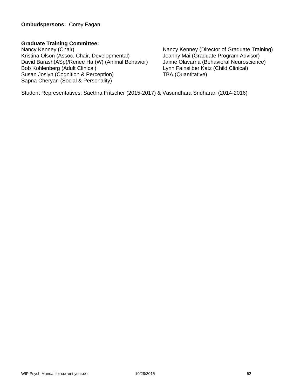# **Graduate Training Committee:**

Nancy Kenney (Chair)<br>
Kristina Olson (Assoc. Chair, Developmental) 
Nancy Kenney (Director of Graduate Training)<br>
Jeanny Mai (Graduate Program Advisor) Kristina Olson (Assoc. Chair, Developmental) David Barash(ASp)/Renee Ha (W) (Animal Behavior) Jaime Olavarria (Behavioral Neuroscience) Bob Kohlenberg (Adult Clinical)<br>
Susan Joslyn (Cognition & Perception) TBA (Quantitative) Susan Joslyn (Cognition & Perception) Sapna Cheryan (Social & Personality)

Student Representatives: Saethra Fritscher (2015-2017) & Vasundhara Sridharan (2014-2016)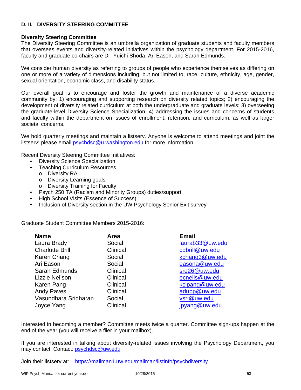# **D. II. DIVERSITY STEERING COMMITTEE**

## **Diversity Steering Committee**

The Diversity Steering Committee is an umbrella organization of graduate students and faculty members that oversees events and diversity-related initiatives within the psychology department. For 2015-2016, faculty and graduate co-chairs are Dr. Yuichi Shoda, Ari Eason, and Sarah Edmunds.

We consider human diversity as referring to groups of people who experience themselves as differing on one or more of a variety of dimensions including, but not limited to, race, culture, ethnicity, age, gender, sexual orientation, economic class, and disability status.

Our overall goal is to encourage and foster the growth and maintenance of a diverse academic community by: 1) encouraging and supporting research on diversity related topics; 2) encouraging the development of diversity related curriculum at both the undergraduate and graduate levels; 3) overseeing the graduate-level Diversity Science Specialization; 4) addressing the issues and concerns of students and faculty within the department on issues of enrollment, retention, and curriculum, as well as larger societal concerns.

We hold quarterly meetings and maintain a listserv. Anyone is welcome to attend meetings and joint the listserv; please email psychdsc@u.washington.edu for more information.

Recent Diversity Steering Committee Initiatives:

- Diversity Science Specialization<br>• Teaching Curriculum Resources
- **Teaching Curriculum Resources** 
	- o Diversity RA
	- o Diversity Learning goals
	- o Diversity Training for Faculty
- Psych 250 TA (Racism and Minority Groups) duties/support
- High School Visits (Essence of Success)
- Inclusion of Diversity section in the UW Psychology Senior Exit survey

Graduate Student Committee Members 2015-2016:

| <b>Name</b>            | Area     | <b>Email</b>    |
|------------------------|----------|-----------------|
| Laura Brady            | Social   | laurab33@uw.edu |
| <b>Charlotte Brill</b> | Clinical | cdbrill@uw.edu  |
| Karen Chang            | Social   | kchang3@uw.edu  |
| Ari Eason              | Social   | easona@uw.edu   |
| Sarah Edmunds          | Clinical | sre26@uw.edu    |
| Lizzie Neilson         | Clinical | ecneils@uw.edu  |
| Karen Pang             | Clinical | kclpang@uw.edu  |
| <b>Andy Paves</b>      | Clinical | adubp@uw.edu    |
| Vasundhara Sridharan   | Social   | vsri@uw.edu     |
| Joyce Yang             | Clinical | jpyang@uw.edu   |

Interested in becoming a member? Committee meets twice a quarter. Committee sign-ups happen at the end of the year (you will receive a flier in your mailbox).

If you are interested in talking about diversity-related issues involving the Psychology Department, you may contact: Contact: psychdsc@uw.edu

Join their listserv at: https://mailman1.uw.edu/mailman/listinfo/psychdiversity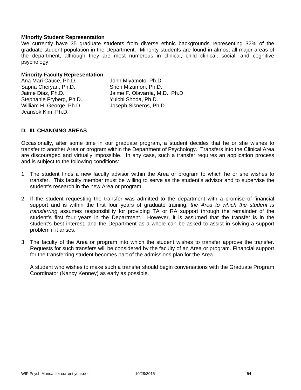#### **Minority Student Representation**

We currently have 35 graduate students from diverse ethnic backgrounds representing 32% of the graduate student population in the Department. Minority students are found in almost all major areas of the department, although they are most numerous in clinical, child clinical, social, and cognitive psychology.

#### **Minority Faculty Representation**

Ana Mari Cauce, Ph.D. John Miyamoto, Ph.D. Sapna Cheryan, Ph.D. Sheri Mizumori, Ph.D. Jaime Diaz, Ph.D. Jaime F. Olavarria, M.D., Ph.D. Stephanie Fryberg, Ph.D. Yuichi Shoda, Ph.D. William H. George, Ph.D. Joseph Sisneros, Ph.D. Jeansok Kim, Ph.D.

#### **D. III. CHANGING AREAS**

Occasionally, after some time in our graduate program, a student decides that he or she wishes to transfer to another Area or program within the Department of Psychology. Transfers into the Clinical Area are discouraged and virtually impossible. In any case, such a transfer requires an application process and is subject to the following conditions:

- 1. The student finds a new faculty advisor within the Area or program to which he or she wishes to transfer. This faculty member must be willing to serve as the student's advisor and to supervise the student's research in the new Area or program.
- 2. If the student requesting the transfer was admitted to the department with a promise of financial support and is within the first four years of graduate training, *the Area to which the student is transferring* assumes responsibility for providing TA or RA support through the remainder of the student's first four years in the Department. However, it is assumed that the transfer is in the student's best interest, and the Department as a whole can be asked to assist in solving a support problem if it arises.
- 3. The faculty of the Area or program into which the student wishes to transfer approve the transfer. Requests for such transfers will be considered by the faculty of an Area or program. Financial support for the transferring student becomes part of the admissions plan for the Area.

 A student who wishes to make such a transfer should begin conversations with the Graduate Program Coordinator (Nancy Kenney) as early as possible.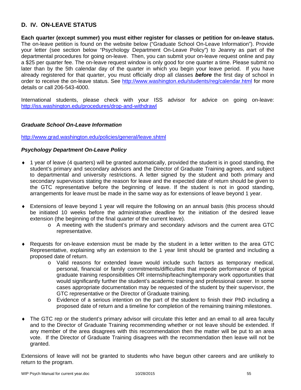# **D. IV. ON-LEAVE STATUS**

**Each quarter (except summer) you must either register for classes or petition for on-leave status.** The on-leave petition is found on the website below ("Graduate School On-Leave Information"). Provide your letter (see section below "Psychology Department On-Leave Policy") to Jeanny as part of the departmental procedures for going on-leave. Then, you can submit your on-leave request online and pay a \$25 per quarter fee. The on-leave request window is only good for one quarter a time. Please submit no later than by the 5th calendar day of the quarter in which you begin your leave period. If you have already registered for that quarter, you must officially drop all classes *before* the first day of school in order to receive the on-leave status. See http://www.washington.edu/students/reg/calendar.html for more details or call 206-543-4000.

International students, please check with your ISS advisor for advice on going on-leave: http://iss.washington.edu/procedures/drop-and-withdrawl

#### *Graduate School On-Leave Information*

http://www.grad.washington.edu/policies/general/leave.shtml

#### *Psychology Department On-Leave Policy*

- 1 year of leave (4 quarters) will be granted automatically, provided the student is in good standing, the student's primary and secondary advisors and the Director of Graduate Training agrees, and subject to departmental and university restrictions. A letter signed by the student and both primary and secondary supervisors stating the reason for leave and the expected date of return should be given to the GTC representative before the beginning of leave. If the student is not in good standing, arrangements for leave must be made in the same way as for extensions of leave beyond 1 year.
- Extensions of leave beyond 1 year will require the following on an annual basis (this process should be initiated 10 weeks before the administrative deadline for the initiation of the desired leave extension (the beginning of the final quarter of the current leave).
	- o A meeting with the student's primary and secondary advisors and the current area GTC representative.
- Requests for on-leave extension must be made by the student in a letter written to the area GTC Representative, explaining why an extension to the 1 year limit should be granted and including a proposed date of return.
	- o Valid reasons for extended leave would include such factors as temporary medical, personal, financial or family commitments/difficulties that impede performance of typical graduate training responsibilities OR internship/teaching/temporary work opportunities that would significantly further the student's academic training and professional career. In some cases appropriate documentation may be requested of the student by their supervisor, the GTC representative or the Director of Graduate training.
	- o Evidence of a serious intention on the part of the student to finish their PhD including a proposed date of return and a timeline for completion of the remaining training milestones.
- The GTC rep or the student's primary advisor will circulate this letter and an email to all area faculty and to the Director of Graduate Training recommending whether or not leave should be extended. If any member of the area disagrees with this recommendation then the matter will be put to an area vote. If the Director of Graduate Training disagrees with the recommendation then leave will not be granted.

Extensions of leave will not be granted to students who have begun other careers and are unlikely to return to the program.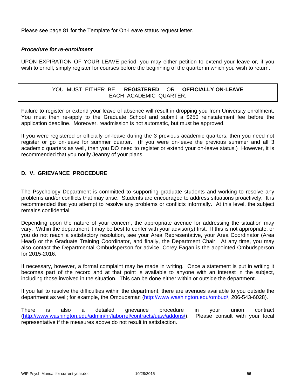Please see page 81 for the Template for On-Leave status request letter.

#### *Procedure for re-enrollment*

UPON EXPIRATION OF YOUR LEAVE period, you may either petition to extend your leave or, if you wish to enroll, simply register for courses before the beginning of the quarter in which you wish to return.

# YOU MUST EITHER BE **REGISTERED** OR **OFFICIALLY ON-LEAVE** EACH ACADEMIC QUARTER.

Failure to register or extend your leave of absence will result in dropping you from University enrollment. You must then re-apply to the Graduate School and submit a \$250 reinstatement fee before the application deadline. Moreover, readmission is not automatic, but must be approved.

If you were registered or officially on-leave during the 3 previous academic quarters, then you need not register or go on-leave for summer quarter. (If you were on-leave the previous summer and all 3 academic quarters as well, then you DO need to register or extend your on-leave status.) However, it is recommended that you notify Jeanny of your plans.

# **D. V. GRIEVANCE PROCEDURE**

The Psychology Department is committed to supporting graduate students and working to resolve any problems and/or conflicts that may arise. Students are encouraged to address situations proactively. It is recommended that you attempt to resolve any problems or conflicts informally. At this level, the subject remains confidential.

Depending upon the nature of your concern, the appropriate avenue for addressing the situation may vary. Within the department it may be best to confer with your advisor(s) first. If this is not appropriate, or you do not reach a satisfactory resolution, see your Area Representative, your Area Coordinator (Area Head) or the Graduate Training Coordinator, and finally, the Department Chair. At any time, you may also contact the Departmental Ombudsperson for advice. Corey Fagan is the appointed Ombudsperson for 2015-2016.

If necessary, however, a formal complaint may be made in writing. Once a statement is put in writing it becomes part of the record and at that point is available to anyone with an interest in the subject, including those involved in the situation. This can be done either within or outside the department.

If you fail to resolve the difficulties within the department, there are avenues available to you outside the department as well; for example, the Ombudsman (http://www.washington.edu/ombud/, 206-543-6028).

There is also a detailed grievance procedure in your union contract (http://www.washington.edu/admin/hr/laborrel/contracts/uaw/addons/). Please consult with your local representative if the measures above do not result in satisfaction.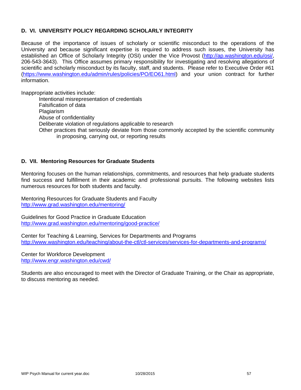## **D. VI. UNIVERSITY POLICY REGARDING SCHOLARLY INTEGRITY**

Because of the importance of issues of scholarly or scientific misconduct to the operations of the University and because significant expertise is required to address such issues, the University has established an Office of Scholarly Integrity (OSI) under the Vice Provost (http://ap.washington.edu/osi/, 206-543-3643). This Office assumes primary responsibility for investigating and resolving allegations of scientific and scholarly misconduct by its faculty, staff, and students. Please refer to Executive Order #61 (https://www.washington.edu/admin/rules/policies/PO/EO61.html) and your union contract for further information.

Inappropriate activities include:

Intentional misrepresentation of credentials Falsification of data Plagiarism Abuse of confidentiality Deliberate violation of regulations applicable to research Other practices that seriously deviate from those commonly accepted by the scientific community in proposing, carrying out, or reporting results

#### **D. VII. Mentoring Resources for Graduate Students**

Mentoring focuses on the human relationships, commitments, and resources that help graduate students find success and fulfillment in their academic and professional pursuits. The following websites lists numerous resources for both students and faculty.

Mentoring Resources for Graduate Students and Faculty http://www.grad.washington.edu/mentoring/

Guidelines for Good Practice in Graduate Education http://www.grad.washington.edu/mentoring/good-practice/

Center for Teaching & Learning, Services for Departments and Programs http://www.washington.edu/teaching/about-the-ctl/ctl-services/services-for-departments-and-programs/

Center for Workforce Development http://www.engr.washington.edu/cwd/

Students are also encouraged to meet with the Director of Graduate Training, or the Chair as appropriate, to discuss mentoring as needed.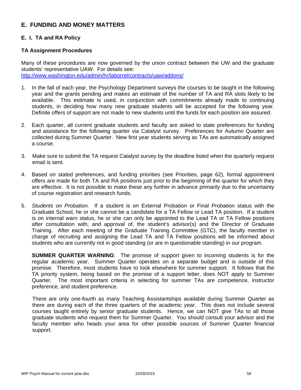# **E. FUNDING AND MONEY MATTERS**

# **E. I. TA and RA Policy**

#### **TA Assignment Procedures**

Many of these procedures are now governed by the union contract between the UW and the graduate students' representative UAW. For details see: http://www.washington.edu/admin/hr/laborrel/contracts/uaw/addons/

- 1. In the fall of each year, the Psychology Department surveys the courses to be taught in the following year and the grants pending and makes an estimate of the number of TA and RA slots likely to be available. This estimate is used, in conjunction with commitments already made to continuing students, in deciding how many new graduate students will be accepted for the following year. Definite offers of support are not made to new students until the funds for each position are assured.
- 2. Each quarter, all current graduate students and faculty are asked to state preferences for funding and assistance for the following quarter via Catalyst survey. Preferences for Autumn Quarter are collected during Summer Quarter. New first year students serving as TAs are automatically assigned a course.
- 3. Make sure to submit the TA request Catalyst survey by the deadline listed when the quarterly request email is sent.
- 4. Based on stated preferences, and funding priorities (see Priorities, page 62), formal appointment offers are made for both TA and RA positions just prior to the beginning of the quarter for which they are effective. It is not possible to make these any further in advance primarily due to the uncertainty of course registration and research funds.
- 5. *Students on Probation.* If a student is on External Probation or Final Probation status with the Graduate School, he or she cannot be a candidate for a TA Fellow or Lead TA position. If a student is on internal warn status, he or she can only be appointed to the Lead TA or TA Fellow positions after consultation with, and approval of, the student's advisor(s) and the Director of Graduate Training. After each meeting of the Graduate Training Committee (GTC), the faculty member in charge of recruiting and assigning the Lead TA and TA Fellow positions will be informed about students who are currently not in good standing (or are in questionable standing) in our program.

**SUMMER QUARTER WARNING**: The promise of support given to incoming students is for the regular academic year. Summer Quarter operates on a separate budget and is outside of this promise. Therefore, most students have to look elsewhere for summer support. It follows that the TA priority system, being based on the promise of a support letter, does NOT apply to Summer Quarter. The most important criteria in selecting for summer TAs are competence, instructor preference, and student preference.

There are only one-fourth as many Teaching Assistantships available during Summer Quarter as there are during each of the three quarters of the academic year. This does not include several courses taught entirely by senior graduate students. Hence, we can NOT give TAs to all those graduate students who request them for Summer Quarter. You should consult your advisor and the faculty member who heads your area for other possible sources of Summer Quarter financial support.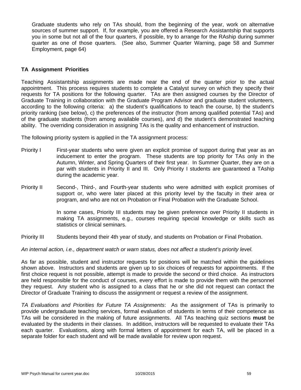Graduate students who rely on TAs should, from the beginning of the year, work on alternative sources of summer support. If, for example, you are offered a Research Assistantship that supports you in some but not all of the four quarters, if possible, try to arrange for the RAship during summer quarter as one of those quarters. (See also, Summer Quarter Warning, page 58 and Summer Employment, page 64)

#### **TA Assignment Priorities**

Teaching Assistantship assignments are made near the end of the quarter prior to the actual appointment. This process requires students to complete a Catalyst survey on which they specify their requests for TA positions for the following quarter. TAs are then assigned courses by the Director of Graduate Training in collaboration with the Graduate Program Advisor and graduate student volunteers, according to the following criteria: a) the student's qualifications to teach the course, b) the student's priority ranking (see below), c) the preferences of the instructor (from among qualified potential TAs) and of the graduate students (from among available courses), and d) the student's demonstrated teaching ability. The overriding consideration in assigning TAs is the quality and enhancement of instruction.

The following priority system is applied in the TA assignment process:

- Priority I First-year students who were given an explicit promise of support during that year as an inducement to enter the program. These students are top priority for TAs only in the Autumn, Winter, and Spring Quarters of their first year. In Summer Quarter, they are on a par with students in Priority II and III. Only Priority I students are guaranteed a TAship during the academic year.
- Priority II Second-, Third-, and Fourth-year students who were admitted with explicit promises of support or, who were later placed at this priority level by the faculty in their area or program, and who are not on Probation or Final Probation with the Graduate School.

In some cases, Priority III students may be given preference over Priority II students in making TA assignments, e.g., courses requiring special knowledge or skills such as statistics or clinical seminars.

Priority III Students beyond their 4th year of study, and students on Probation or Final Probation.

*An internal action, i.e., department watch or warn status, does not affect a student's priority level.* 

As far as possible, student and instructor requests for positions will be matched within the guidelines shown above. Instructors and students are given up to six choices of requests for appointments. If the first choice request is not possible, attempt is made to provide the second or third choice. As instructors are held responsible for the conduct of courses, every effort is made to provide them with the personnel they request. Any student who is assigned to a class that he or she did not request can contact the Director of Graduate Training to discuss the assignment or request a review of the assignment.

*TA Evaluations and Priorities for Future TA Assignments*: As the assignment of TAs is primarily to provide undergraduate teaching services, formal evaluation of students in terms of their competence as TAs will be considered in the making of future assignments. All TAs teaching quiz sections **must** be evaluated by the students in their classes. In addition, instructors will be requested to evaluate their TAs each quarter. Evaluations, along with formal letters of appointment for each TA, will be placed in a separate folder for each student and will be made available for review upon request.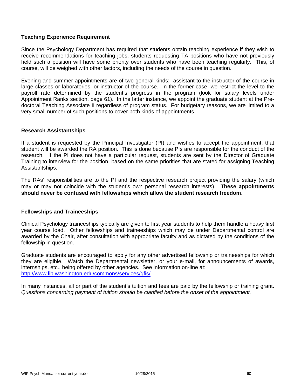#### **Teaching Experience Requirement**

Since the Psychology Department has required that students obtain teaching experience if they wish to receive recommendations for teaching jobs, students requesting TA positions who have not previously held such a position will have some priority over students who have been teaching regularly. This, of course, will be weighed with other factors, including the needs of the course in question.

Evening and summer appointments are of two general kinds: assistant to the instructor of the course in large classes or laboratories; or instructor of the course. In the former case, we restrict the level to the payroll rate determined by the student's progress in the program (look for salary levels under Appointment Ranks section, page 61). In the latter instance, we appoint the graduate student at the Predoctoral Teaching Associate II regardless of program status. For budgetary reasons, we are limited to a very small number of such positions to cover both kinds of appointments.

#### **Research Assistantships**

If a student is requested by the Principal Investigator (PI) and wishes to accept the appointment, that student will be awarded the RA position. This is done because PIs are responsible for the conduct of the research. If the PI does not have a particular request, students are sent by the Director of Graduate Training to interview for the position, based on the same priorities that are stated for assigning Teaching Assistantships.

The RAs' responsibilities are to the PI and the respective research project providing the salary (which may or may not coincide with the student's own personal research interests). **These appointments should never be confused with fellowships which allow the student research freedom**.

#### **Fellowships and Traineeships**

Clinical Psychology traineeships typically are given to first year students to help them handle a heavy first year course load. Other fellowships and traineeships which may be under Departmental control are awarded by the Chair, after consultation with appropriate faculty and as dictated by the conditions of the fellowship in question.

Graduate students are encouraged to apply for any other advertised fellowship or traineeships for which they are eligible. Watch the Departmental newsletter, or your e-mail, for announcements of awards, internships, etc., being offered by other agencies. See information on-line at: http://www.lib.washington.edu/commons/services/gfis/

In many instances, all or part of the student's tuition and fees are paid by the fellowship or training grant. *Questions concerning payment of tuition should be clarified before the onset of the appointment.*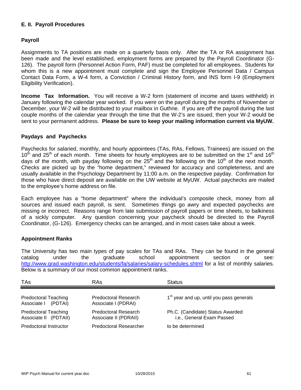# **E. II. Payroll Procedures**

#### **Payroll**

Assignments to TA positions are made on a quarterly basis only. After the TA or RA assignment has been made and the level established, employment forms are prepared by the Payroll Coordinator (G-126). The payroll form (Personnel Action Form, PAF) must be completed for all employees. Students for whom this is a new appointment must complete and sign the Employee Personnel Data / Campus Contact Data Form, a W-4 form, a Conviction / Criminal History form, and INS form I-9 (Employment Eligibility Verification).

**Income Tax Information.** You will receive a W-2 form (statement of income and taxes withheld) in January following the calendar year worked. If you were on the payroll during the months of November or December, your W-2 will be distributed to your mailbox in Guthrie. If you are off the payroll during the last couple months of the calendar year through the time that the W-2's are issued, then your W-2 would be sent to your permanent address. **Please be sure to keep your mailing information current via MyUW.**

#### **Paydays and Paychecks**

Paychecks for salaried, monthly, and hourly appointees (TAs, RAs, Fellows, Trainees) are issued on the  $10<sup>th</sup>$  and 25<sup>th</sup> of each month. Time sheets for hourly employees are to be submitted on the 1<sup>st</sup> and 16<sup>th</sup> days of the month, with payday following on the  $25<sup>th</sup>$  and the following on the 10<sup>th</sup> of the next month. Checks are picked up by the "home department," reviewed for accuracy and completeness, and are usually available in the Psychology Department by 11:00 a.m. on the respective payday. Confirmation for those who have direct deposit are available on the UW website at MyUW. Actual paychecks are mailed to the employee's home address on file.

Each employee has a "home department" where the individual's composite check, money from all sources and issued each payroll, is sent. Sometimes things go awry and expected paychecks are missing or incorrect. Reasons range from late submission of payroll papers or time sheets, to balkiness of a sickly computer. Any question concerning your paycheck should be directed to the Payroll Coordinator, (G-126). Emergency checks can be arranged, and in most cases take about a week.

#### **Appointment Ranks**

The University has two main types of pay scales for TAs and RAs. They can be found in the general catalog under the graduate school appointment section or see: http://www.grad.washington.edu/students/fa/salaries/salary-schedules.shtml for a list of monthly salaries. Below is a summary of our most common appointment ranks.

| TAs                                                  | RAs                                           | <b>Status</b>                                                 |
|------------------------------------------------------|-----------------------------------------------|---------------------------------------------------------------|
| <b>Predoctoral Teaching</b><br>Associate I (PDTAI)   | Predoctoral Research<br>Associate I (PDRAI)   | 1 <sup>st</sup> year and up, until you pass generals          |
| <b>Predoctoral Teaching</b><br>Associate II (PDTAII) | Predoctoral Research<br>Associate II (PDRAII) | Ph.C. (Candidate) Status Awarded<br>i.e., General Exam Passed |
| Predoctoral Instructor                               | <b>Predoctoral Researcher</b>                 | to be determined                                              |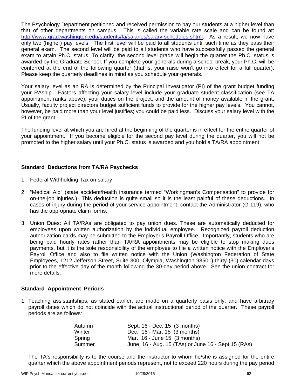The Psychology Department petitioned and received permission to pay our students at a higher level than that of other departments on campus. This is called the variable rate scale and can be found at: http://www.grad.washington.edu/students/fa/salaries/salary-schedules.shtml. As a result, we now have only two (higher) pay levels. The first level will be paid to all students until such time as they pass their general exam. The second level will be paid to all students who have successfully passed the general exam to attain Ph.C. status. To clarify, the second level grade will begin the quarter the Ph.C. status is awarded by the Graduate School. If you complete your generals during a school break, your Ph.C. will be conferred at the end of the following quarter (that is, your raise won't go into effect for a full quarter). Please keep the quarterly deadlines in mind as you schedule your generals.

Your salary level as an RA is determined by the Principal Investigator (PI) of the grant budget funding your RAship. Factors affecting your salary level include your graduate student classification (see TA appointment ranks above), your duties on the project, and the amount of money available in the grant. Usually, faculty project directors budget sufficient funds to provide for the higher pay levels. You cannot, however, be paid more than your level justifies; you could be paid less. Discuss your salary level with the PI of the grant.

The funding level at which you are hired at the beginning of the quarter is in effect for the entire quarter of your appointment. If you become eligible for the second pay level during the quarter, you will not be promoted to the higher salary until your Ph.C. status is awarded and you hold a TA/RA appointment.

#### **Standard Deductions from TA/RA Paychecks**

- 1. Federal Withholding Tax on salary
- 2. "Medical Aid" (state accident/health insurance termed "Workingman's Compensation" to provide for on-the-job injuries.) This deduction is quite small so it is the least painful of these deductions. In cases of injury during the period of your service appointment, contact the Administrator (G-119), who has the appropriate claim forms.
- 3. Union Dues: All TA/RAs are obligated to pay union dues. These are automatically deducted for employees upon written authorization by the individual employee. Recognized payroll deduction authorization cards may be submitted to the Employer's Payroll Office. Importantly, students who are being paid hourly rates rather than TA/RA appointments may be eligible to stop making dues payments, but it is the sole responsibility of the employee to file a written notice with the Employer's Payroll Office and also to file written notice with the Union (Washington Federation of State Employees, 1212 Jefferson Street, Suite 300, Olympia, Washington 98501) thirty (30) calendar days prior to the effective day of the month following the 30-day period above. See the union contract for more details.

#### **Standard Appointment Periods**

1. Teaching assistantships, as stated earlier, are made on a quarterly basis only, and have arbitrary payroll dates which do not coincide with the actual instructional period of the quarter. These payroll periods are as follows:

| Autumn | Sept. 16 - Dec. 15 (3 months)                      |
|--------|----------------------------------------------------|
| Winter | Dec. 16 - Mar. 15 (3 months)                       |
| Spring | Mar. $16 - June 15$ (3 months)                     |
| Summer | June 16 - Aug. 15 (TAs) or June 16 - Sept 15 (RAs) |

The TA's responsibility is to the course and the instructor to whom he/she is assigned for the entire quarter which the above appointment periods represent, not to exceed 220 hours during the pay period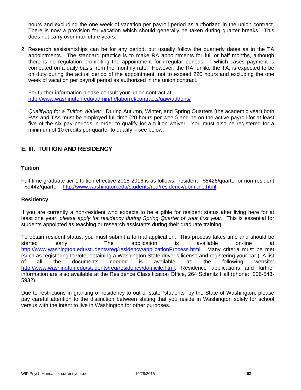hours and excluding the one week of vacation per payroll period as authorized in the union contract. There is now a provision for vacation which should generally be taken during quarter breaks. This does not carry over into future years.

2. Research assistantships can be for any period, but usually follow the quarterly dates as in the TA appointments. The standard practice is to make RA appointments for full or half months, although there is no regulation prohibiting the appointment for irregular periods, in which cases payment is computed on a daily basis from the monthly rate. However, the RA, unlike the TA, is expected to be on duty during the actual period of the appointment, not to exceed 220 hours and excluding the one week of vacation per payroll period as authorized in the union contract.

For further information please consult your union contract at http://www.washington.edu/admin/hr/laborrel/contracts/uaw/addons/

*Qualifying for a Tuition Waiver*: During Autumn, Winter, and Spring Quarters (the academic year) both RAs and TAs must be employed full time (20 hours per week) and be on the active payroll for at least five of the six pay periods in order to qualify for a tuition waiver. You must also be registered for a minimum of 10 credits per quarter to qualify – see below.

# **E. III. TUITION AND RESIDENCY**

# **Tuition**

Full-time graduate tier 1 tuition effective 2015-2016 is as follows: resident - \$5426/quarter or non-resident - \$9442/quarter. http://www.washington.edu/students/reg/residency/domicile.html

#### **Residency**

If you are currently a non-resident who expects to be eligible for resident status after living here for at least one year, *please apply for residency during Spring Quarter of your first year*. This is essential for students appointed as teaching or research assistants during their graduate training.

To obtain resident status, you must submit a formal application. This process takes time and should be started early. The application is available on-line at http://www.washington.edu/students/reg/residency/applicationProcess.html. Many criteria must be met (such as registering to vote, obtaining a Washington State driver's license and registering your car.) A list of all the documents needed is available at: the following website: http://www.washington.edu/students/reg/residency/domicile.html. Residence applications and further information are also available at the Residence Classification Office, 264 Schmitz Hall (phone: 206-543- 5932).

Due to restrictions in granting of residency to out of state "students" by the State of Washington, please pay careful attention to the distinction between stating that you reside in Washington solely for school versus with the intent to live in Washington for other purposes.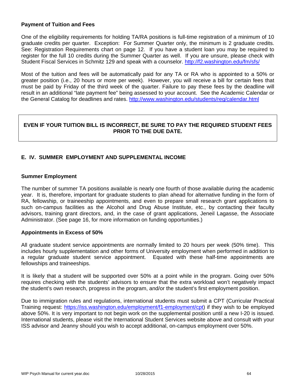#### **Payment of Tuition and Fees**

One of the eligibility requirements for holding TA/RA positions is full-time registration of a minimum of 10 graduate credits per quarter. Exception: For Summer Quarter only, the minimum is 2 graduate credits. See: Registration Requirements chart on page 12. If you have a student loan you may be required to register for the full 10 credits during the Summer Quarter as well. If you are unsure, please check with Student Fiscal Services in Schmitz 129 and speak with a counselor. http://f2.washington.edu/fm/sfs/

Most of the tuition and fees will be automatically paid for any TA or RA who is appointed to a 50% or greater position (i.e., 20 hours or more per week). However, you will receive a bill for certain fees that must be paid by Friday of the third week of the quarter. Failure to pay these fees by the deadline will result in an additional "late payment fee" being assessed to your account. See the Academic Calendar or the General Catalog for deadlines and rates. http://www.washington.edu/students/reg/calendar.html

# **EVEN IF YOUR TUITION BILL IS INCORRECT, BE SURE TO PAY THE REQUIRED STUDENT FEES PRIOR TO THE DUE DATE.**

# **E. IV. SUMMER EMPLOYMENT AND SUPPLEMENTAL INCOME**

#### **Summer Employment**

The number of summer TA positions available is nearly one fourth of those available during the academic year. It is, therefore, important for graduate students to plan ahead for alternative funding in the form of RA, fellowship, or traineeship appointments, and even to prepare small research grant applications to such on-campus facilities as the Alcohol and Drug Abuse Institute, etc., by contacting their faculty advisors, training grant directors, and, in the case of grant applications, Jeneil Lagasse, the Associate Administrator. (See page 16, for more information on funding opportunities.)

#### **Appointments in Excess of 50%**

All graduate student service appointments are normally limited to 20 hours per week (50% time). This includes hourly supplementation and other forms of University employment when performed in addition to a regular graduate student service appointment. Equated with these half-time appointments are fellowships and traineeships.

It is likely that a student will be supported over 50% at a point while in the program. Going over 50% requires checking with the students' advisors to ensure that the extra workload won't negatively impact the student's own research, progress in the program, and/or the student's first employment position.

Due to immigration rules and regulations, international students must submit a CPT (Curricular Practical Training request: https://iss.washington.edu/employment/f1-employment/cpt) if they wish to be employed above 50%. It is very important to not begin work on the supplemental position until a new I-20 is issued. International students, please visit the International Student Services website above and consult with your ISS advisor and Jeanny should you wish to accept additional, on-campus employment over 50%.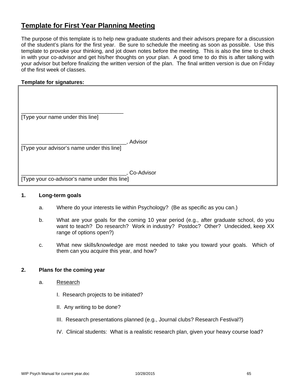# **Template for First Year Planning Meeting**

The purpose of this template is to help new graduate students and their advisors prepare for a discussion of the student's plans for the first year. Be sure to schedule the meeting as soon as possible. Use this template to provoke your thinking, and jot down notes before the meeting. This is also the time to check in with your co-advisor and get his/her thoughts on your plan. A good time to do this is after talking with your advisor but before finalizing the written version of the plan. The final written version is due on Friday of the first week of classes.

#### **Template for signatures:**

| [Type your name under this line] |  |
|----------------------------------|--|

\_\_\_\_\_\_\_\_\_\_\_\_\_\_\_\_\_\_\_\_\_\_\_\_\_\_\_\_\_\_\_\_\_\_\_, Advisor [Type your advisor's name under this line]

\_\_\_\_\_\_\_\_\_\_\_\_\_\_\_\_\_\_\_\_\_\_\_\_\_\_\_\_\_\_\_\_\_\_\_, Co-Advisor

[Type your co-advisor's name under this line]

#### **1. Long-term goals**

- a. Where do your interests lie within Psychology? (Be as specific as you can.)
- b. What are your goals for the coming 10 year period (e.g., after graduate school, do you want to teach? Do research? Work in industry? Postdoc? Other? Undecided, keep XX range of options open?)
- c. What new skills/knowledge are most needed to take you toward your goals. Which of them can you acquire this year, and how?

#### **2. Plans for the coming year**

- a. Research
	- I. Research projects to be initiated?
	- II. Any writing to be done?
	- III. Research presentations planned (e.g., Journal clubs? Research Festival?)
	- IV. Clinical students: What is a realistic research plan, given your heavy course load?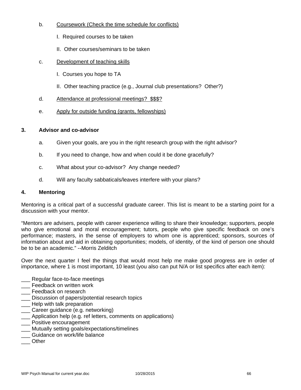# b. Coursework (Check the time schedule for conflicts)

- I. Required courses to be taken
- II. Other courses/seminars to be taken
- c. Development of teaching skills
	- I. Courses you hope to TA
	- II. Other teaching practice (e.g., Journal club presentations? Other?)
- d. Attendance at professional meetings? \$\$\$?
- e. Apply for outside funding (grants, fellowships)

# **3. Advisor and co-advisor**

- a. Given your goals, are you in the right research group with the right advisor?
- b. If you need to change, how and when could it be done gracefully?
- c. What about your co-advisor? Any change needed?
- d. Will any faculty sabbaticals/leaves interfere with your plans?

#### **4. Mentoring**

Mentoring is a critical part of a successful graduate career. This list is meant to be a starting point for a discussion with your mentor.

"Mentors are advisers, people with career experience willing to share their knowledge; supporters, people who give emotional and moral encouragement; tutors, people who give specific feedback on one's performance; masters, in the sense of employers to whom one is apprenticed; sponsors, sources of information about and aid in obtaining opportunities; models, of identity, of the kind of person one should be to be an academic." --Morris Zelditch

Over the next quarter I feel the things that would most help me make good progress are in order of importance, where 1 is most important, 10 least (you also can put N/A or list specifics after each item):

- Regular face-to-face meetings
- \_\_\_ Feedback on written work
- **\_\_\_** Feedback on research
- \_\_\_ Discussion of papers/potential research topics
- **\_\_\_** Help with talk preparation
- Career guidance (e.g. networking)
- \_\_\_ Application help (e.g. ref letters, comments on applications)
- \_\_\_ Positive encouragement
- \_\_\_ Mutually setting goals/expectations/timelines
- \_\_\_ Guidance on work/life balance
- \_\_\_ Other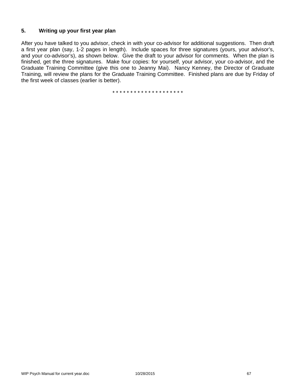# **5. Writing up your first year plan**

After you have talked to you advisor, check in with your co-advisor for additional suggestions. Then draft a first year plan (say, 1-2 pages in length). Include spaces for three signatures (yours, your advisor's, and your co-advisor's), as shown below. Give the draft to your advisor for comments. When the plan is finished, get the three signatures. Make four copies: for yourself, your advisor, your co-advisor, and the Graduate Training Committee (give this one to Jeanny Mai). Nancy Kenney, the Director of Graduate Training, will review the plans for the Graduate Training Committee. Finished plans are due by Friday of the first week of classes (earlier is better).

\* \* \* \* \* \* \* \* \* \* \* \* \* \* \* \* \* \* \* \*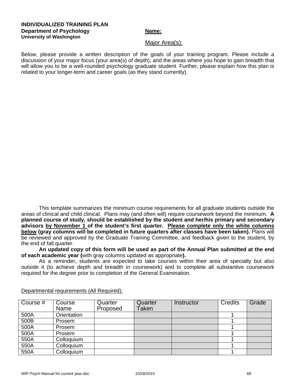#### **INDIVIDUALIZED TRAINING PLAN Department of Psychology Name:** Name: **University of Washington**

#### Major Area(s):

Below, please provide a written description of the goals of your training program. Please include a discussion of your major focus (your area(s) of depth), and the areas where you hope to gain breadth that will allow you to be a well-rounded psychology graduate student. Further, please explain how this plan is related to your longer-term and career goals (as they stand currently).

This template summarizes the minimum course requirements for all graduate students outside the areas of clinical and child clinical. Plans may (and often will) require coursework beyond the minimum. **A planned course of study, should be established by the student and her/his primary and secondary advisors by November 1 of the student's first quarter. Please complete only the white columns below (gray columns will be completed in future quarters after classes have been taken).** Plans will be reviewed and approved by the Graduate Training Committee, and feedback given to the student, by the end of fall quarter.

**An updated copy of this form will be used as part of the Annual Plan submitted at the end of each academic year (**with gray columns updated as appropriate**).** 

As a reminder, students are expected to take courses within their area of specialty but also outside it (to achieve depth and breadth in coursework) and to complete all substantive coursework required for the degree prior to completion of the General Examination.

| Course # | Course<br>Name | Quarter<br>Proposed | Quarter<br>Taken | Instructor | <b>Credits</b> | Grade |
|----------|----------------|---------------------|------------------|------------|----------------|-------|
| 500A     | Orientation    |                     |                  |            |                |       |
| 500B     | Prosem         |                     |                  |            |                |       |
| 500A     | Prosem         |                     |                  |            |                |       |
| 500A     | Prosem         |                     |                  |            |                |       |
| 550A     | Colloquium     |                     |                  |            |                |       |
| 550A     | Colloquium     |                     |                  |            |                |       |
| 550A     | Colloquium     |                     |                  |            |                |       |

Departmental requirements (All Required):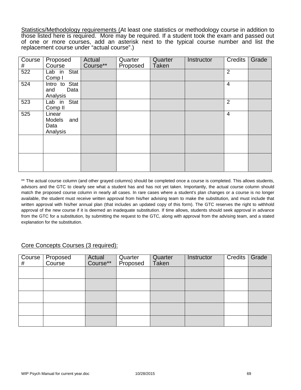Statistics/Methodology requirements (At least one statistics or methodology course in addition to those listed here is required. More may be required. If a student took the exam and passed out of one or more courses, add an asterisk next to the typical course number and list the replacement course under "actual course".)

| Course<br># | Proposed<br>Course                                 | Actual<br>Course** | Quarter<br>Proposed | Quarter<br><b>Taken</b> | Instructor | <b>Credits</b> | Grade |
|-------------|----------------------------------------------------|--------------------|---------------------|-------------------------|------------|----------------|-------|
| 522         | Lab in Stat<br>Comp I                              |                    |                     |                         |            | 2              |       |
| 524         | Intro to Stat<br>and<br>Data<br>Analysis           |                    |                     |                         |            | $\overline{4}$ |       |
| 523         | Lab in Stat<br>Comp <sub>II</sub>                  |                    |                     |                         |            | $\overline{2}$ |       |
| 525         | Linear<br><b>Models</b><br>and<br>Data<br>Analysis |                    |                     |                         |            | $\overline{4}$ |       |
|             |                                                    |                    |                     |                         |            |                |       |
|             |                                                    |                    |                     |                         |            |                |       |

\*\* The actual course column (and other grayed columns) should be completed once a course is completed. This allows students, advisors and the GTC to clearly see what a student has and has not yet taken. Importantly, the actual course column should match the proposed course column in nearly all cases. In rare cases where a student's plan changes or a course is no longer available, the student must receive written approval from his/her advising team to make the substitution, and must include that written approval with his/her annual plan (that includes an updated copy of this form). The GTC reserves the right to withhold approval of the new course if it is deemed an inadequate substitution. If time allows, students should seek approval in advance from the GTC for a substitution, by submitting the request to the GTC, along with approval from the advising team, and a stated explanation for the substitution.

# Core Concepts Courses (3 required):

| Course  <br># | Proposed<br>Course | Actual<br>Course** | Quarter<br>Proposed | Quarter<br>Taken | Instructor | <b>Credits</b> | Grade |
|---------------|--------------------|--------------------|---------------------|------------------|------------|----------------|-------|
|               |                    |                    |                     |                  |            |                |       |
|               |                    |                    |                     |                  |            |                |       |
|               |                    |                    |                     |                  |            |                |       |
|               |                    |                    |                     |                  |            |                |       |
|               |                    |                    |                     |                  |            |                |       |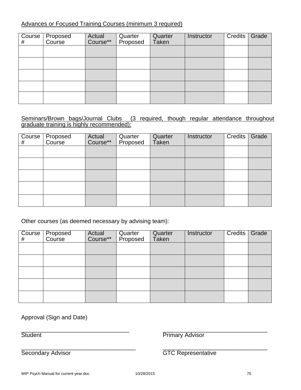# Advances or Focused Training Courses (minimum 3 required)

| $\overline{Cou}$ rse<br># | Proposed<br>Course | Actual<br>Course** | Quarter<br>Proposed | Quarter<br>Taken | Instructor | Credits | Grade |
|---------------------------|--------------------|--------------------|---------------------|------------------|------------|---------|-------|
|                           |                    |                    |                     |                  |            |         |       |
|                           |                    |                    |                     |                  |            |         |       |
|                           |                    |                    |                     |                  |            |         |       |
|                           |                    |                    |                     |                  |            |         |       |
|                           |                    |                    |                     |                  |            |         |       |

# (3 required, though regular attendance throughout Seminars/Brown bags/Journal Clubs (graduate training is highly recommended):

| $\overline{C}$ ourse<br># | Proposed<br>Course | Actual<br>Course** | Quarter<br>Proposed | Quarter<br>Taken | Instructor | Credits | Grade |
|---------------------------|--------------------|--------------------|---------------------|------------------|------------|---------|-------|
|                           |                    |                    |                     |                  |            |         |       |
|                           |                    |                    |                     |                  |            |         |       |
|                           |                    |                    |                     |                  |            |         |       |
|                           |                    |                    |                     |                  |            |         |       |
|                           |                    |                    |                     |                  |            |         |       |

Other courses (as deemed necessary by advising team):

| # | Course Proposed<br>Course | Actual<br>Course** | Quarter<br>Proposed | Quarter<br>Taken | Instructor | Credits | Grade |
|---|---------------------------|--------------------|---------------------|------------------|------------|---------|-------|
|   |                           |                    |                     |                  |            |         |       |
|   |                           |                    |                     |                  |            |         |       |
|   |                           |                    |                     |                  |            |         |       |
|   |                           |                    |                     |                  |            |         |       |
|   |                           |                    |                     |                  |            |         |       |

Approval (Sign and Date)

 $\overline{\phantom{a}}$  , and the contribution of the contribution of the contribution of the contribution of the contribution of the contribution of the contribution of the contribution of the contribution of the contribution of the Student **Primary Advisor** 

\_\_\_\_\_\_\_\_\_\_\_\_\_\_\_\_\_\_\_\_\_\_\_\_\_\_\_\_\_\_\_\_\_\_\_ \_\_\_\_\_\_\_\_\_\_\_\_\_\_\_\_\_\_\_\_\_\_\_\_\_\_\_\_\_\_\_\_

Secondary Advisor GTC Representative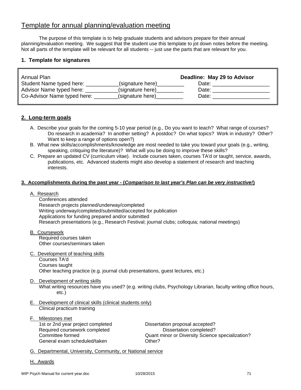# Template for annual planning/evaluation meeting

The purpose of this template is to help graduate students and advisors prepare for their annual planning/evaluation meeting. We suggest that the student use this template to jot down notes before the meeting. Not all parts of the template will be relevant for all students -- just use the parts that are relevant for you.

#### **1. Template for signatures**

| Annual Plan                 |                  | Deadline: May 29 to Advisor |
|-----------------------------|------------------|-----------------------------|
| Student Name typed here:    | (signature here) | Date:                       |
| Advisor Name typed here:    | (signature here) | Date:                       |
| Co-Advisor Name typed here: | (signature here) | Date:                       |

#### **2. Long-term goals**

- A. Describe your goals for the coming 5-10 year period (e.g., Do you want to teach? What range of courses? Do research in academia? In another setting? A postdoc? On what topics? Work in industry? Other? Want to keep a range of options open?)
- B. What new skills/accomplishments/knowledge are most needed to take you toward your goals (e.g., writing, speaking, critiquing the literature)? What will you be doing to improve these skills?
- C. Prepare an updated CV (curriculum vitae). Include courses taken, courses TA'd or taught, service, awards, publications, etc. Advanced students might also develop a statement of research and teaching interests.

#### **3. Accomplishments during the past year - (***Comparison to last year's Plan can be very instructive!***)**

#### A. Research

 Conferences attended Research projects planned/underway/completed Writing underway/completed/submitted/accepted for publication Applications for funding prepared and/or submitted Research presentations (e.g., Research Festival; journal clubs; colloquia; national meetings)

- B. Coursework Required courses taken Other courses/seminars taken
- C. Development of teaching skills Courses TA'd Courses taught Other teaching practice (e.g. journal club presentations, guest lectures, etc.)
- D. Development of writing skills

 What writing resources have you used? (e.g. writing clubs, Psychology Librarian, faculty writing office hours, etc.)

- E. Development of clinical skills (clinical students only) Clinical practicum training
- F. Milestones met 1st or 2nd year project completed Dissertation proposal accepted? Required coursework completed Dissertation completed? General exam scheduled/taken **Communists** Other?

Committee formed Quant minor or Diversity Science specialization?

- G. Departmental, University, Community, or National service
- H. Awards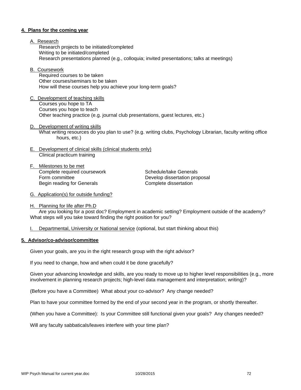#### **4. Plans for the coming year**

- A. Research Research projects to be initiated/completed Writing to be initiated/completed Research presentations planned (e.g., colloquia; invited presentations; talks at meetings)
- B. Coursework

 Required courses to be taken Other courses/seminars to be taken How will these courses help you achieve your long-term goals?

- C. Development of teaching skills Courses you hope to TA Courses you hope to teach Other teaching practice (e.g. journal club presentations, guest lectures, etc.)
- D. Development of writing skills What writing resources do you plan to use? (e.g. writing clubs, Psychology Librarian, faculty writing office hours, etc.)
- E. Development of clinical skills (clinical students only) Clinical practicum training
- F. Milestones to be met Complete required coursework Schedule/take Generals Form committee **Develop dissertation proposal** Begin reading for Generals **Complete** dissertation

- G. Application(s) for outside funding?
- H. Planning for life after Ph.D

 Are you looking for a post doc? Employment in academic setting? Employment outside of the academy? What steps will you take toward finding the right position for you?

I. Departmental, University or National service (optional, but start thinking about this)

#### **5. Advisor/co-advisor/committee**

Given your goals, are you in the right research group with the right advisor?

If you need to change, how and when could it be done gracefully?

Given your advancing knowledge and skills, are you ready to move up to higher level responsibilities (e.g., more involvement in planning research projects; high-level data management and interpretation; writing)?

(Before you have a Committee) What about your co-advisor? Any change needed?

Plan to have your committee formed by the end of your second year in the program, or shortly thereafter.

(When you have a Committee): Is your Committee still functional given your goals? Any changes needed?

Will any faculty sabbaticals/leaves interfere with your time plan?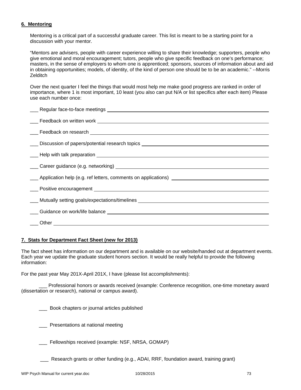#### **6. Mentoring**

Mentoring is a critical part of a successful graduate career. This list is meant to be a starting point for a discussion with your mentor.

"Mentors are advisers, people with career experience willing to share their knowledge; supporters, people who give emotional and moral encouragement; tutors, people who give specific feedback on one's performance; masters, in the sense of employers to whom one is apprenticed; sponsors, sources of information about and aid in obtaining opportunities; models, of identity, of the kind of person one should be to be an academic." --Morris **Zelditch** 

Over the next quarter I feel the things that would most help me make good progress are ranked in order of importance, where 1 is most important, 10 least (you also can put N/A or list specifics after each item) Please use each number once:

| Career guidance (e.g. networking) example and the contract of the contract of the contract of the contract of the contract of the contract of the contract of the contract of the contract of the contract of the contract of |
|-------------------------------------------------------------------------------------------------------------------------------------------------------------------------------------------------------------------------------|
| ____ Application help (e.g. ref letters, comments on applications) _________________________________                                                                                                                          |
|                                                                                                                                                                                                                               |
|                                                                                                                                                                                                                               |
|                                                                                                                                                                                                                               |
|                                                                                                                                                                                                                               |
|                                                                                                                                                                                                                               |

#### **7. Stats for Department Fact Sheet (new for 2013)**

The fact sheet has information on our department and is available on our website/handed out at department events. Each year we update the graduate student honors section. It would be really helpful to provide the following information:

For the past year May 201X-April 201X, I have (please list accomplishments):

 \_\_\_ Professional honors or awards received (example: Conference recognition, one-time monetary award (dissertation or research), national or campus award).

\_\_\_ Book chapters or journal articles published

\_\_\_ Presentations at national meeting

Fellowships received (example: NSF, NRSA, GOMAP)

\_\_\_ Research grants or other funding (e.g., ADAI, RRF, foundation award, training grant)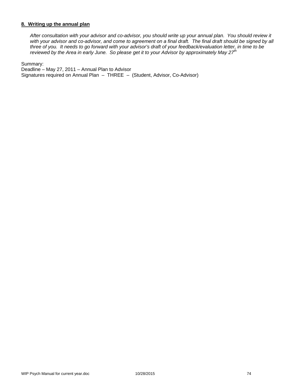#### **8. Writing up the annual plan**

*After consultation with your advisor and co-advisor, you should write up your annual plan. You should review it*  with your advisor and co-advisor, and come to agreement on a final draft. The final draft should be signed by all *three of you. It needs to go forward with your advisor's draft of your feedback/evaluation letter, in time to be reviewed by the Area in early June. So please get it to your Advisor by approximately May 27th* 

Summary:

Deadline – May 27, 2011 – Annual Plan to Advisor Signatures required on Annual Plan – THREE – (Student, Advisor, Co-Advisor)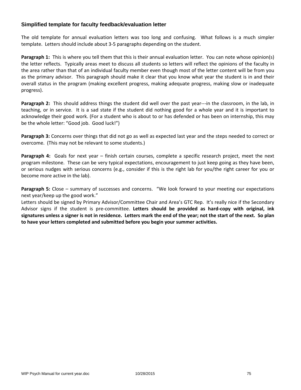### **Simplified template for faculty feedback/evaluation letter**

The old template for annual evaluation letters was too long and confusing. What follows is a much simpler template. Letters should include about 3‐5 paragraphs depending on the student.

**Paragraph 1:** This is where you tell them that this is their annual evaluation letter. You can note whose opinion(s) the letter reflects. Typically areas meet to discuss all students so letters will reflect the opinions of the faculty in the area rather than that of an individual faculty member even though most of the letter content will be from you as the primary advisor. This paragraph should make it clear that you know what year the student is in and their overall status in the program (making excellent progress, making adequate progress, making slow or inadequate progress).

**Paragraph 2:** This should address things the student did well over the past year---in the classroom, in the lab, in teaching, or in service. It is a sad state if the student did nothing good for a whole year and it is important to acknowledge their good work. (For a student who is about to or has defended or has been on internship, this may be the whole letter: "Good job. Good luck!")

**Paragraph 3:** Concerns over things that did not go as well as expected last year and the steps needed to correct or overcome. (This may not be relevant to some students.)

**Paragraph 4:** Goals for next year – finish certain courses, complete a specific research project, meet the next program milestone. These can be very typical expectations, encouragement to just keep going as they have been, or serious nudges with serious concerns (e.g., consider if this is the right lab for you/the right career for you or become more active in the lab).

**Paragraph 5:** Close – summary of successes and concerns. "We look forward to your meeting our expectations next year/keep up the good work."

Letters should be signed by Primary Advisor/Committee Chair and Area's GTC Rep. It's really nice if the Secondary Advisor signs if the student is pre‐committee. **Letters should be provided as hard‐copy with original, ink** signatures unless a signer is not in residence. Letters mark the end of the year; not the start of the next. So plan **to have your letters completed and submitted before you begin your summer activities.**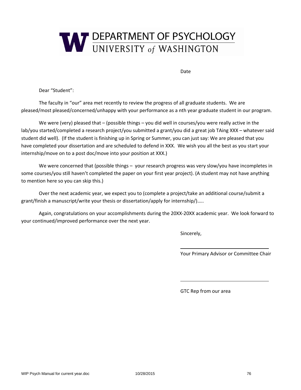

Date

Dear "Student":

The faculty in "our" area met recently to review the progress of all graduate students. We are pleased/most pleased/concerned/unhappy with your performance as a nth year graduate student in our program.

We were (very) pleased that – (possible things – you did well in courses/you were really active in the lab/you started/completed a research project/you submitted a grant/you did a great job TAing XXX – whatever said student did well). (If the student is finishing up in Spring or Summer, you can just say: We are pleased that you have completed your dissertation and are scheduled to defend in XXX. We wish you all the best as you start your internship/move on to a post doc/move into your position at XXX.)

We were concerned that (possible things – your research progress was very slow/you have incompletes in some courses/you still haven't completed the paper on your first year project). (A student may not have anything to mention here so you can skip this.)

Over the next academic year, we expect you to (complete a project/take an additional course/submit a grant/finish a manuscript/write your thesis or dissertation/apply for internship/)…..

Again, congratulations on your accomplishments during the 20XX‐20XX academic year. We look forward to your continued/improved performance over the next year.

<u> 1989 - John Stein, Amerikaansk politiker (\* 1989)</u>

<u> 1989 - John Stein, Amerikaansk politiker († 1989)</u>

Sincerely,

Your Primary Advisor or Committee Chair

GTC Rep from our area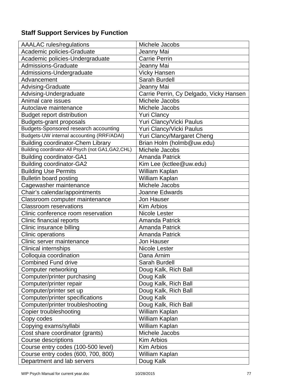# **Staff Support Services by Function**

| <b>AAALAC</b> rules/regulations                    | Michele Jacobs                          |
|----------------------------------------------------|-----------------------------------------|
| Academic policies-Graduate                         | Jeanny Mai                              |
| Academic policies-Undergraduate                    | <b>Carrie Perrin</b>                    |
| <b>Admissions-Graduate</b>                         | Jeanny Mai                              |
| Admissions-Undergraduate                           | <b>Vicky Hansen</b>                     |
| Advancement                                        | Sarah Burdell                           |
| Advising-Graduate                                  | Jeanny Mai                              |
| Advising-Undergraduate                             | Carrie Perrin, Cy Delgado, Vicky Hansen |
| Animal care issues                                 | Michele Jacobs                          |
| Autoclave maintenance                              | Michele Jacobs                          |
| <b>Budget report distribution</b>                  | <b>Yuri Clancy</b>                      |
| <b>Budgets-grant proposals</b>                     | Yuri Clancy/Vicki Paulus                |
| Budgets-Sponsored research accounting              | Yuri Clancy/Vicki Paulus                |
| Budgets-UW internal accounting (RRF/ADAI)          | Yuri Clancy/Margaret Cheng              |
| <b>Building coordinator-Chem Library</b>           | Brian Holm (holmb@uw.edu)               |
| Building coordinator-All Psych (not GA1, GA2, CHL) | Michele Jacobs                          |
| <b>Building coordinator-GA1</b>                    | <b>Amanda Patrick</b>                   |
| <b>Building coordinator-GA2</b>                    | Kim Lee (kctlee@uw.edu)                 |
| <b>Building Use Permits</b>                        | William Kaplan                          |
| <b>Bulletin board posting</b>                      | William Kaplan                          |
| Cagewasher maintenance                             | Michele Jacobs                          |
| Chair's calendar/appointments                      | Joanne Edwards                          |
| Classroom computer maintenance                     | <b>Jon Hauser</b>                       |
| <b>Classroom reservations</b>                      | <b>Kim Arbios</b>                       |
| Clinic conference room reservation                 | <b>Nicole Lester</b>                    |
| Clinic financial reports                           | <b>Amanda Patrick</b>                   |
| Clinic insurance billing                           | Amanda Patrick                          |
| <b>Clinic operations</b>                           | <b>Amanda Patrick</b>                   |
| Clinic server maintenance                          | <b>Jon Hauser</b>                       |
| <b>Clinical internships</b>                        | <b>Nicole Lester</b>                    |
| Colloquia coordination                             | Dana Arnim                              |
| <b>Combined Fund drive</b>                         | Sarah Burdell                           |
| Computer networking                                | Doug Kalk, Rich Ball                    |
| Computer/printer purchasing                        | Doug Kalk                               |
| Computer/printer repair                            | Doug Kalk, Rich Ball                    |
| Computer/printer set up                            | Doug Kalk, Rich Ball                    |
| Computer/printer specifications                    | Doug Kalk                               |
| Computer/printer troubleshooting                   | Doug Kalk, Rich Ball                    |
| Copier troubleshooting                             | William Kaplan                          |
| Copy codes                                         | William Kaplan                          |
| Copying exams/syllabi                              | William Kaplan                          |
| Cost share coordinator (grants)                    | Michele Jacobs                          |
| <b>Course descriptions</b>                         | Kim Arbios                              |
| Course entry codes (100-500 level)                 | Kim Arbios                              |
| Course entry codes (600, 700, 800)                 | William Kaplan                          |
| Department and lab servers                         | Doug Kalk                               |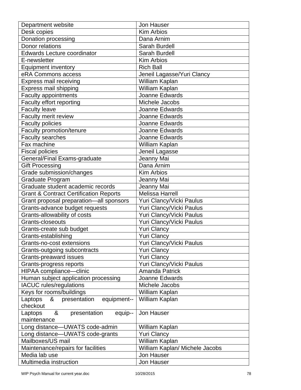| Department website                                | Jon Hauser                     |
|---------------------------------------------------|--------------------------------|
| Desk copies                                       | <b>Kim Arbios</b>              |
| Donation processing                               | Dana Arnim                     |
| Donor relations                                   | Sarah Burdell                  |
| <b>Edwards Lecture coordinator</b>                | <b>Sarah Burdell</b>           |
| E-newsletter                                      | <b>Kim Arbios</b>              |
| <b>Equipment inventory</b>                        | <b>Rich Ball</b>               |
| eRA Commons access                                | Jeneil Lagasse/Yuri Clancy     |
| Express mail receiving                            | William Kaplan                 |
| Express mail shipping                             | William Kaplan                 |
| <b>Faculty appointments</b>                       | Joanne Edwards                 |
| Faculty effort reporting                          | Michele Jacobs                 |
| <b>Faculty leave</b>                              | Joanne Edwards                 |
| Faculty merit review                              | Joanne Edwards                 |
| <b>Faculty policies</b>                           | Joanne Edwards                 |
| Faculty promotion/tenure                          | Joanne Edwards                 |
| <b>Faculty searches</b>                           | <b>Joanne Edwards</b>          |
| Fax machine                                       | William Kaplan                 |
| <b>Fiscal policies</b>                            | Jeneil Lagasse                 |
| General/Final Exams-graduate                      | Jeanny Mai                     |
| <b>Gift Processing</b>                            | Dana Arnim                     |
| Grade submission/changes                          | <b>Kim Arbios</b>              |
| Graduate Program                                  | Jeanny Mai                     |
| Graduate student academic records                 | Jeanny Mai                     |
| <b>Grant &amp; Contract Certification Reports</b> | <b>Melissa Harrell</b>         |
| Grant proposal preparation-all sponsors           | Yuri Clancy/Vicki Paulus       |
| Grants-advance budget requests                    | Yuri Clancy/Vicki Paulus       |
| Grants-allowability of costs                      | Yuri Clancy/Vicki Paulus       |
| Grants-closeouts                                  | Yuri Clancy/Vicki Paulus       |
| Grants-create sub budget                          | <b>Yuri Clancy</b>             |
| Grants-establishing                               | <b>Yuri Clancy</b>             |
| Grants-no-cost extensions                         | Yuri Clancy/Vicki Paulus       |
| Grants-outgoing subcontracts                      | <b>Yuri Clancy</b>             |
| <b>Grants-preaward issues</b>                     | <b>Yuri Clancy</b>             |
| Grants-progress reports                           | Yuri Clancy/Vicki Paulus       |
| HIPAA compliance-clinic                           | <b>Amanda Patrick</b>          |
| Human subject application processing              | Joanne Edwards                 |
| <b>IACUC</b> rules/regulations                    | Michele Jacobs                 |
| Keys for rooms/buildings                          | William Kaplan                 |
| presentation<br>Laptops<br>&<br>equipment--       | William Kaplan                 |
| checkout                                          |                                |
| &<br>Laptops<br>presentation<br>equip--           | Jon Hauser                     |
| maintenance                                       |                                |
| Long distance-UWATS code-admin                    | William Kaplan                 |
| Long distance-UWATS code-grants                   | <b>Yuri Clancy</b>             |
| Mailboxes/US mail                                 | William Kaplan                 |
| Maintenance/repairs for facilities                | William Kaplan/ Michele Jacobs |
| Media lab use                                     | Jon Hauser                     |
| Multimedia instruction                            | Jon Hauser                     |
|                                                   |                                |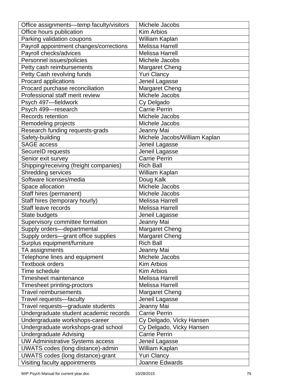| Office assignments-temp faculty/visitors | Michele Jacobs                |
|------------------------------------------|-------------------------------|
| Office hours publication                 | <b>Kim Arbios</b>             |
| Parking validation coupons               | William Kaplan                |
| Payroll appointment changes/corrections  | <b>Melissa Harrell</b>        |
| Payroll checks/advices                   | <b>Melissa Harrell</b>        |
| Personnel issues/policies                | Michele Jacobs                |
| Petty cash reimbursements                | <b>Margaret Cheng</b>         |
| Petty Cash revolving funds               | <b>Yuri Clancy</b>            |
| Procard applications                     | Jeneil Lagasse                |
| Procard purchase reconciliation          | <b>Margaret Cheng</b>         |
| Professional staff merit review          | Michele Jacobs                |
| Psych 497-fieldwork                      | Cy Delgado                    |
| Psych 499-research                       | <b>Carrie Perrin</b>          |
| Records retention                        | Michele Jacobs                |
| Remodeling projects                      | Michele Jacobs                |
| Research funding requests-grads          | Jeanny Mai                    |
| Safety-building                          | Michele Jacobs/William Kaplan |
| <b>SAGE</b> access                       | Jeneil Lagasse                |
| SecureID requests                        | Jeneil Lagasse                |
| Senior exit survey                       | <b>Carrie Perrin</b>          |
| Shipping/receiving (freight companies)   | <b>Rich Ball</b>              |
| Shredding services                       | William Kaplan                |
| Software licenses/media                  | Doug Kalk                     |
| Space allocation                         | Michele Jacobs                |
| Staff hires (permanent)                  | Michele Jacobs                |
| Staff hires (temporary hourly)           | <b>Melissa Harrell</b>        |
| Staff leave records                      | <b>Melissa Harrell</b>        |
| State budgets                            | Jeneil Lagasse                |
| Supervisory committee formation          | Jeanny Mai                    |
| Supply orders-departmental               | Margaret Cheng                |
| Supply orders-grant office supplies      | <b>Margaret Cheng</b>         |
| Surplus equipment/furniture              | <b>Rich Ball</b>              |
| TA assignments                           | Jeanny Mai                    |
| Telephone lines and equipment            | Michele Jacobs                |
| <b>Textbook orders</b>                   | <b>Kim Arbios</b>             |
| Time schedule                            | Kim Arbios                    |
| Timesheet maintenance                    | <b>Melissa Harrell</b>        |
| Timesheet printing-proctors              | <b>Melissa Harrell</b>        |
| <b>Travel reimbursements</b>             | <b>Margaret Cheng</b>         |
| Travel requests-faculty                  | Jeneil Lagasse                |
| Travel requests-graduate students        | Jeanny Mai                    |
| Undergraduate student academic records   | <b>Carrie Perrin</b>          |
| Undergraduate workshops-career           | Cy Delgado, Vicky Hansen      |
| Undergraduate workshops-grad school      | Cy Delgado, Vicky Hansen      |
| <b>Undergraduate Advising</b>            | <b>Carrie Perrin</b>          |
| <b>UW Administrative Systems access</b>  | Jeneil Lagasse                |
| UWATS codes (long distance)-admin        | William Kaplan                |
| UWATS codes (long distance)-grant        | <b>Yuri Clancy</b>            |
| Visiting faculty appointments            | Joanne Edwards                |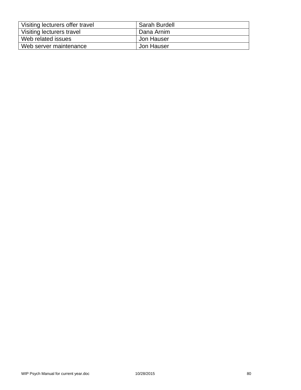| Visiting lecturers offer travel | Sarah Burdell |
|---------------------------------|---------------|
| Visiting lecturers travel       | Dana Arnim    |
| Web related issues              | Jon Hauser    |
| Web server maintenance          | Jon Hauser    |